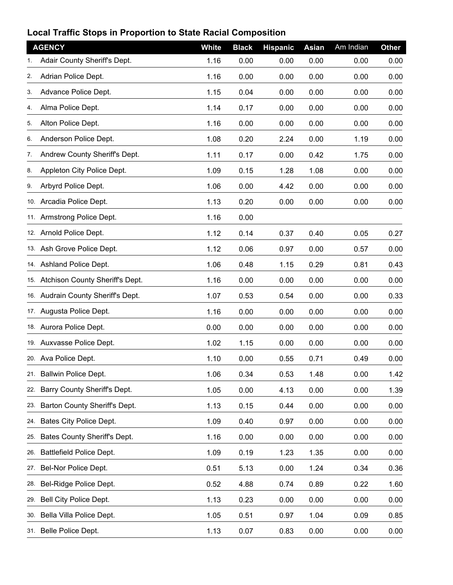## **Local Traffic Stops in Proportion to State Racial Composition**

|     | <b>AGENCY</b>                       | White | <b>Black</b> | <b>Hispanic</b> | <b>Asian</b> | Am Indian | <b>Other</b> |
|-----|-------------------------------------|-------|--------------|-----------------|--------------|-----------|--------------|
| 1.  | Adair County Sheriff's Dept.        | 1.16  | 0.00         | 0.00            | 0.00         | 0.00      | 0.00         |
| 2.  | Adrian Police Dept.                 | 1.16  | 0.00         | 0.00            | 0.00         | 0.00      | 0.00         |
| 3.  | Advance Police Dept.                | 1.15  | 0.04         | 0.00            | 0.00         | 0.00      | 0.00         |
| 4.  | Alma Police Dept.                   | 1.14  | 0.17         | 0.00            | 0.00         | 0.00      | 0.00         |
| 5.  | Alton Police Dept.                  | 1.16  | 0.00         | 0.00            | 0.00         | 0.00      | 0.00         |
| 6.  | Anderson Police Dept.               | 1.08  | 0.20         | 2.24            | 0.00         | 1.19      | 0.00         |
| 7.  | Andrew County Sheriff's Dept.       | 1.11  | 0.17         | 0.00            | 0.42         | 1.75      | 0.00         |
| 8.  | Appleton City Police Dept.          | 1.09  | 0.15         | 1.28            | 1.08         | 0.00      | 0.00         |
| 9.  | Arbyrd Police Dept.                 | 1.06  | 0.00         | 4.42            | 0.00         | 0.00      | 0.00         |
| 10. | Arcadia Police Dept.                | 1.13  | 0.20         | 0.00            | 0.00         | 0.00      | 0.00         |
|     | 11. Armstrong Police Dept.          | 1.16  | 0.00         |                 |              |           |              |
|     | 12. Arnold Police Dept.             | 1.12  | 0.14         | 0.37            | 0.40         | 0.05      | 0.27         |
|     | 13. Ash Grove Police Dept.          | 1.12  | 0.06         | 0.97            | 0.00         | 0.57      | 0.00         |
|     | 14 Ashland Police Dept.             | 1.06  | 0.48         | 1.15            | 0.29         | 0.81      | 0.43         |
|     | 15. Atchison County Sheriff's Dept. | 1.16  | 0.00         | 0.00            | 0.00         | 0.00      | 0.00         |
|     | 16. Audrain County Sheriff's Dept.  | 1.07  | 0.53         | 0.54            | 0.00         | 0.00      | 0.33         |
|     | 17. Augusta Police Dept.            | 1.16  | 0.00         | 0.00            | 0.00         | 0.00      | 0.00         |
|     | 18. Aurora Police Dept.             | 0.00  | 0.00         | 0.00            | 0.00         | 0.00      | 0.00         |
|     | 19. Auxvasse Police Dept.           | 1.02  | 1.15         | 0.00            | 0.00         | 0.00      | 0.00         |
|     | 20. Ava Police Dept.                | 1.10  | 0.00         | 0.55            | 0.71         | 0.49      | 0.00         |
|     | 21. Ballwin Police Dept.            | 1.06  | 0.34         | 0.53            | 1.48         | 0.00      | 1.42         |
| 22. | Barry County Sheriff's Dept.        | 1.05  | 0.00         | 4.13            | 0.00         | 0.00      | 1.39         |
| 23. | Barton County Sheriff's Dept.       | 1.13  | 0.15         | 0.44            | 0.00         | 0.00      | 0.00         |
| 24. | Bates City Police Dept.             | 1.09  | 0.40         | 0.97            | 0.00         | 0.00      | 0.00         |
| 25. | Bates County Sheriff's Dept.        | 1.16  | 0.00         | 0.00            | 0.00         | 0.00      | 0.00         |
| 26. | Battlefield Police Dept.            | 1.09  | 0.19         | 1.23            | 1.35         | 0.00      | 0.00         |
| 27. | Bel-Nor Police Dept.                | 0.51  | 5.13         | 0.00            | 1.24         | 0.34      | 0.36         |
| 28. | Bel-Ridge Police Dept.              | 0.52  | 4.88         | 0.74            | 0.89         | 0.22      | 1.60         |
| 29. | Bell City Police Dept.              | 1.13  | 0.23         | 0.00            | 0.00         | 0.00      | 0.00         |
|     | 30. Bella Villa Police Dept.        | 1.05  | 0.51         | 0.97            | 1.04         | 0.09      | 0.85         |
|     | 31. Belle Police Dept.              | 1.13  | 0.07         | 0.83            | 0.00         | 0.00      | 0.00         |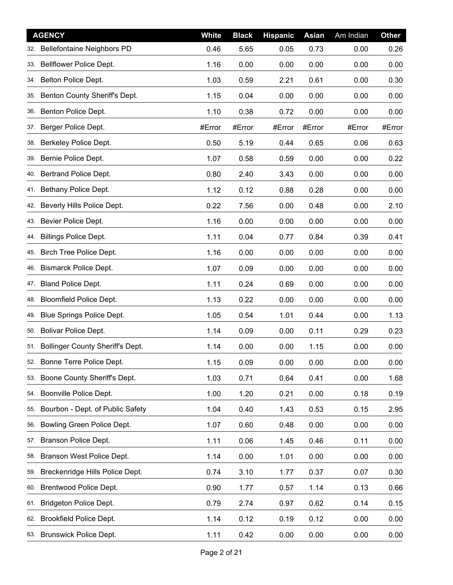|     | <b>AGENCY</b>                           | White  | <b>Black</b> | <b>Hispanic</b> | <b>Asian</b> | Am Indian | <b>Other</b> |
|-----|-----------------------------------------|--------|--------------|-----------------|--------------|-----------|--------------|
| 32. | <b>Bellefontaine Neighbors PD</b>       | 0.46   | 5.65         | 0.05            | 0.73         | 0.00      | 0.26         |
| 33. | Bellflower Police Dept.                 | 1.16   | 0.00         | 0.00            | 0.00         | 0.00      | 0.00         |
| 34. | Belton Police Dept.                     | 1.03   | 0.59         | 2.21            | 0.61         | 0.00      | 0.30         |
| 35. | Benton County Sheriff's Dept.           | 1.15   | 0.04         | 0.00            | 0.00         | 0.00      | 0.00         |
| 36. | Benton Police Dept.                     | 1.10   | 0.38         | 0.72            | 0.00         | 0.00      | 0.00         |
| 37. | Berger Police Dept.                     | #Error | #Error       | #Error          | #Error       | #Error    | #Error       |
| 38. | Berkeley Police Dept.                   | 0.50   | 5.19         | 0.44            | 0.65         | 0.06      | 0.63         |
| 39. | Bernie Police Dept.                     | 1.07   | 0.58         | 0.59            | 0.00         | 0.00      | 0.22         |
| 40. | Bertrand Police Dept.                   | 0.80   | 2.40         | 3.43            | 0.00         | 0.00      | 0.00         |
| 41. | Bethany Police Dept.                    | 1.12   | 0.12         | 0.88            | 0.28         | 0.00      | 0.00         |
| 42. | Beverly Hills Police Dept.              | 0.22   | 7.56         | 0.00            | 0.48         | 0.00      | 2.10         |
| 43. | Bevier Police Dept.                     | 1.16   | 0.00         | 0.00            | 0.00         | 0.00      | 0.00         |
| 44. | <b>Billings Police Dept.</b>            | 1.11   | 0.04         | 0.77            | 0.84         | 0.39      | 0.41         |
| 45. | <b>Birch Tree Police Dept.</b>          | 1.16   | 0.00         | 0.00            | 0.00         | 0.00      | 0.00         |
| 46. | <b>Bismarck Police Dept.</b>            | 1.07   | 0.09         | 0.00            | 0.00         | 0.00      | 0.00         |
| 47. | <b>Bland Police Dept.</b>               | 1.11   | 0.24         | 0.69            | 0.00         | 0.00      | 0.00         |
| 48. | Bloomfield Police Dept.                 | 1.13   | 0.22         | 0.00            | 0.00         | 0.00      | 0.00         |
| 49. | Blue Springs Police Dept.               | 1.05   | 0.54         | 1.01            | 0.44         | 0.00      | 1.13         |
| 50. | <b>Bolivar Police Dept.</b>             | 1.14   | 0.09         | 0.00            | 0.11         | 0.29      | 0.23         |
| 51. | <b>Bollinger County Sheriff's Dept.</b> | 1.14   | 0.00         | 0.00            | 1.15         | 0.00      | 0.00         |
| 52. | Bonne Terre Police Dept.                | 1.15   | 0.09         | 0.00            | 0.00         | 0.00      | 0.00         |
| 53. | Boone County Sheriff's Dept.            | 1.03   | 0.71         | 0.64            | 0.41         | 0.00      | 1.68         |
| 54. | Boonville Police Dept.                  | 1.00   | 1.20         | 0.21            | 0.00         | 0.18      | 0.19         |
| 55. | Bourbon - Dept. of Public Safety        | 1.04   | 0.40         | 1.43            | 0.53         | 0.15      | 2.95         |
| 56. | Bowling Green Police Dept.              | 1.07   | 0.60         | 0.48            | 0.00         | 0.00      | 0.00         |
| 57. | Branson Police Dept.                    | 1.11   | 0.06         | 1.45            | 0.46         | 0.11      | 0.00         |
| 58. | Branson West Police Dept.               | 1.14   | 0.00         | 1.01            | 0.00         | 0.00      | 0.00         |
| 59. | Breckenridge Hills Police Dept.         | 0.74   | 3.10         | 1.77            | 0.37         | 0.07      | 0.30         |
| 60. | Brentwood Police Dept.                  | 0.90   | 1.77         | 0.57            | 1.14         | 0.13      | 0.66         |
| 61. | Bridgeton Police Dept.                  | 0.79   | 2.74         | 0.97            | 0.62         | 0.14      | 0.15         |
| 62. | <b>Brookfield Police Dept.</b>          | 1.14   | 0.12         | 0.19            | 0.12         | 0.00      | 0.00         |
| 63. | <b>Brunswick Police Dept.</b>           | 1.11   | 0.42         | 0.00            | 0.00         | 0.00      | 0.00         |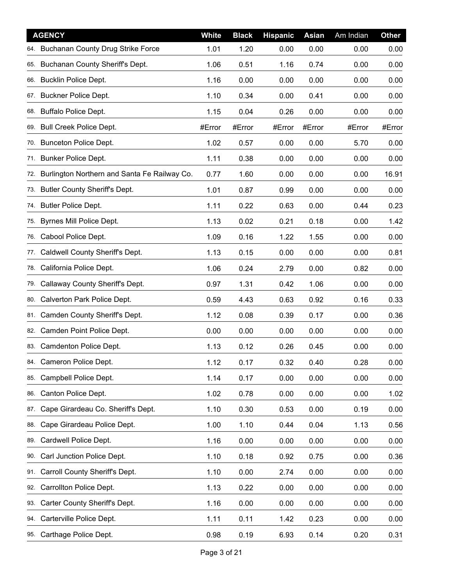|     | <b>AGENCY</b>                                | White  | <b>Black</b> | <b>Hispanic</b> | <b>Asian</b> | Am Indian | Other  |
|-----|----------------------------------------------|--------|--------------|-----------------|--------------|-----------|--------|
| 64. | <b>Buchanan County Drug Strike Force</b>     | 1.01   | 1.20         | 0.00            | 0.00         | 0.00      | 0.00   |
| 65. | Buchanan County Sheriff's Dept.              | 1.06   | 0.51         | 1.16            | 0.74         | 0.00      | 0.00   |
| 66. | <b>Bucklin Police Dept.</b>                  | 1.16   | 0.00         | 0.00            | 0.00         | 0.00      | 0.00   |
| 67. | <b>Buckner Police Dept.</b>                  | 1.10   | 0.34         | 0.00            | 0.41         | 0.00      | 0.00   |
| 68. | <b>Buffalo Police Dept.</b>                  | 1.15   | 0.04         | 0.26            | 0.00         | 0.00      | 0.00   |
| 69. | <b>Bull Creek Police Dept.</b>               | #Error | #Error       | #Error          | #Error       | #Error    | #Error |
| 70. | <b>Bunceton Police Dept.</b>                 | 1.02   | 0.57         | 0.00            | 0.00         | 5.70      | 0.00   |
| 71. | <b>Bunker Police Dept.</b>                   | 1.11   | 0.38         | 0.00            | 0.00         | 0.00      | 0.00   |
| 72. | Burlington Northern and Santa Fe Railway Co. | 0.77   | 1.60         | 0.00            | 0.00         | 0.00      | 16.91  |
| 73. | Butler County Sheriff's Dept.                | 1.01   | 0.87         | 0.99            | 0.00         | 0.00      | 0.00   |
| 74. | <b>Butler Police Dept.</b>                   | 1.11   | 0.22         | 0.63            | 0.00         | 0.44      | 0.23   |
| 75. | Byrnes Mill Police Dept.                     | 1.13   | 0.02         | 0.21            | 0.18         | 0.00      | 1.42   |
| 76. | Cabool Police Dept.                          | 1.09   | 0.16         | 1.22            | 1.55         | 0.00      | 0.00   |
| 77. | Caldwell County Sheriff's Dept.              | 1.13   | 0.15         | 0.00            | 0.00         | 0.00      | 0.81   |
| 78. | California Police Dept.                      | 1.06   | 0.24         | 2.79            | 0.00         | 0.82      | 0.00   |
| 79. | Callaway County Sheriff's Dept.              | 0.97   | 1.31         | 0.42            | 1.06         | 0.00      | 0.00   |
| 80. | Calverton Park Police Dept.                  | 0.59   | 4.43         | 0.63            | 0.92         | 0.16      | 0.33   |
|     | 81. Camden County Sheriff's Dept.            | 1.12   | 0.08         | 0.39            | 0.17         | 0.00      | 0.36   |
| 82. | Camden Point Police Dept.                    | 0.00   | 0.00         | 0.00            | 0.00         | 0.00      | 0.00   |
| 83. | Camdenton Police Dept.                       | 1.13   | 0.12         | 0.26            | 0.45         | 0.00      | 0.00   |
| 84. | Cameron Police Dept.                         | 1.12   | 0.17         | 0.32            | 0.40         | 0.28      | 0.00   |
| 85. | Campbell Police Dept.                        | 1.14   | 0.17         | 0.00            | 0.00         | 0.00      | 0.00   |
| 86. | Canton Police Dept.                          | 1.02   | 0.78         | 0.00            | 0.00         | 0.00      | 1.02   |
| 87. | Cape Girardeau Co. Sheriff's Dept.           | 1.10   | 0.30         | 0.53            | 0.00         | 0.19      | 0.00   |
| 88. | Cape Girardeau Police Dept.                  | 1.00   | 1.10         | 0.44            | 0.04         | 1.13      | 0.56   |
| 89. | Cardwell Police Dept.                        | 1.16   | 0.00         | 0.00            | 0.00         | 0.00      | 0.00   |
| 90. | Carl Junction Police Dept.                   | 1.10   | 0.18         | 0.92            | 0.75         | 0.00      | 0.36   |
| 91. | Carroll County Sheriff's Dept.               | 1.10   | 0.00         | 2.74            | 0.00         | 0.00      | 0.00   |
| 92. | Carrollton Police Dept.                      | 1.13   | 0.22         | 0.00            | 0.00         | 0.00      | 0.00   |
| 93. | Carter County Sheriff's Dept.                | 1.16   | 0.00         | 0.00            | 0.00         | 0.00      | 0.00   |
| 94. | Carterville Police Dept.                     | 1.11   | 0.11         | 1.42            | 0.23         | 0.00      | 0.00   |
|     | 95. Carthage Police Dept.                    | 0.98   | 0.19         | 6.93            | 0.14         | 0.20      | 0.31   |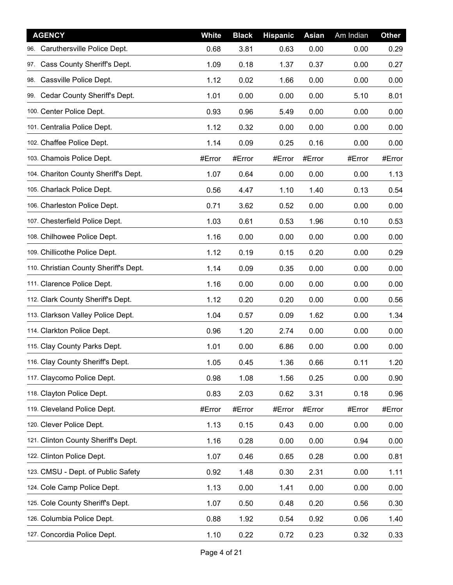| <b>AGENCY</b>                         | <b>White</b> | <b>Black</b> | <b>Hispanic</b> | <b>Asian</b> | Am Indian | Other  |
|---------------------------------------|--------------|--------------|-----------------|--------------|-----------|--------|
| 96. Caruthersville Police Dept.       | 0.68         | 3.81         | 0.63            | 0.00         | 0.00      | 0.29   |
| 97. Cass County Sheriff's Dept.       | 1.09         | 0.18         | 1.37            | 0.37         | 0.00      | 0.27   |
| 98. Cassville Police Dept.            | 1.12         | 0.02         | 1.66            | 0.00         | 0.00      | 0.00   |
| 99. Cedar County Sheriff's Dept.      | 1.01         | 0.00         | 0.00            | 0.00         | 5.10      | 8.01   |
| 100. Center Police Dept.              | 0.93         | 0.96         | 5.49            | 0.00         | 0.00      | 0.00   |
| 101. Centralia Police Dept.           | 1.12         | 0.32         | 0.00            | 0.00         | 0.00      | 0.00   |
| 102. Chaffee Police Dept.             | 1.14         | 0.09         | 0.25            | 0.16         | 0.00      | 0.00   |
| 103. Chamois Police Dept.             | #Error       | #Error       | #Error          | #Error       | #Error    | #Error |
| 104. Chariton County Sheriff's Dept.  | 1.07         | 0.64         | 0.00            | 0.00         | 0.00      | 1.13   |
| 105. Charlack Police Dept.            | 0.56         | 4.47         | 1.10            | 1.40         | 0.13      | 0.54   |
| 106. Charleston Police Dept.          | 0.71         | 3.62         | 0.52            | 0.00         | 0.00      | 0.00   |
| 107. Chesterfield Police Dept.        | 1.03         | 0.61         | 0.53            | 1.96         | 0.10      | 0.53   |
| 108. Chilhowee Police Dept.           | 1.16         | 0.00         | 0.00            | 0.00         | 0.00      | 0.00   |
| 109. Chillicothe Police Dept.         | 1.12         | 0.19         | 0.15            | 0.20         | 0.00      | 0.29   |
| 110. Christian County Sheriff's Dept. | 1.14         | 0.09         | 0.35            | 0.00         | 0.00      | 0.00   |
| 111. Clarence Police Dept.            | 1.16         | 0.00         | 0.00            | 0.00         | 0.00      | 0.00   |
| 112. Clark County Sheriff's Dept.     | 1.12         | 0.20         | 0.20            | 0.00         | 0.00      | 0.56   |
| 113. Clarkson Valley Police Dept.     | 1.04         | 0.57         | 0.09            | 1.62         | 0.00      | 1.34   |
| 114. Clarkton Police Dept.            | 0.96         | 1.20         | 2.74            | 0.00         | 0.00      | 0.00   |
| 115. Clay County Parks Dept.          | 1.01         | 0.00         | 6.86            | 0.00         | 0.00      | 0.00   |
| 116. Clay County Sheriff's Dept.      | 1.05         | 0.45         | 1.36            | 0.66         | 0.11      | 1.20   |
| 117. Claycomo Police Dept.            | 0.98         | 1.08         | 1.56            | 0.25         | 0.00      | 0.90   |
| 118. Clayton Police Dept.             | 0.83         | 2.03         | 0.62            | 3.31         | 0.18      | 0.96   |
| 119. Cleveland Police Dept.           | #Error       | #Error       | #Error          | #Error       | #Error    | #Error |
| 120. Clever Police Dept.              | 1.13         | 0.15         | 0.43            | 0.00         | 0.00      | 0.00   |
| 121. Clinton County Sheriff's Dept.   | 1.16         | 0.28         | 0.00            | 0.00         | 0.94      | 0.00   |
| 122. Clinton Police Dept.             | 1.07         | 0.46         | 0.65            | 0.28         | 0.00      | 0.81   |
| 123. CMSU - Dept. of Public Safety    | 0.92         | 1.48         | 0.30            | 2.31         | 0.00      | 1.11   |
| 124. Cole Camp Police Dept.           | 1.13         | 0.00         | 1.41            | 0.00         | 0.00      | 0.00   |
| 125. Cole County Sheriff's Dept.      | 1.07         | 0.50         | 0.48            | 0.20         | 0.56      | 0.30   |
| 126. Columbia Police Dept.            | 0.88         | 1.92         | 0.54            | 0.92         | 0.06      | 1.40   |
| 127. Concordia Police Dept.           | 1.10         | 0.22         | 0.72            | 0.23         | 0.32      | 0.33   |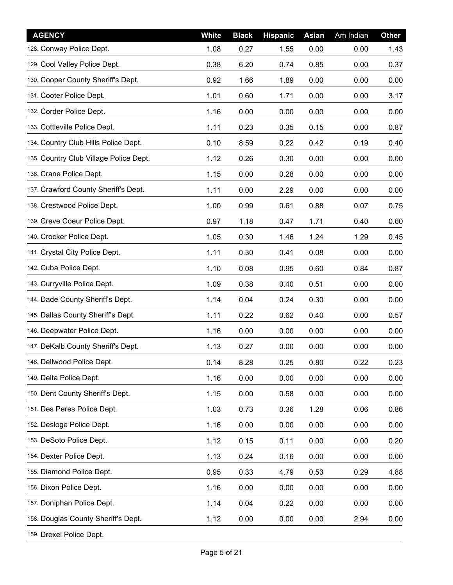| <b>AGENCY</b>                          | <b>White</b> | <b>Black</b> | <b>Hispanic</b> | <b>Asian</b> | Am Indian | Other |
|----------------------------------------|--------------|--------------|-----------------|--------------|-----------|-------|
| 128. Conway Police Dept.               | 1.08         | 0.27         | 1.55            | 0.00         | 0.00      | 1.43  |
| 129. Cool Valley Police Dept.          | 0.38         | 6.20         | 0.74            | 0.85         | 0.00      | 0.37  |
| 130. Cooper County Sheriff's Dept.     | 0.92         | 1.66         | 1.89            | 0.00         | 0.00      | 0.00  |
| 131. Cooter Police Dept.               | 1.01         | 0.60         | 1.71            | 0.00         | 0.00      | 3.17  |
| 132. Corder Police Dept.               | 1.16         | 0.00         | 0.00            | 0.00         | 0.00      | 0.00  |
| 133. Cottleville Police Dept.          | 1.11         | 0.23         | 0.35            | 0.15         | 0.00      | 0.87  |
| 134. Country Club Hills Police Dept.   | 0.10         | 8.59         | 0.22            | 0.42         | 0.19      | 0.40  |
| 135. Country Club Village Police Dept. | 1.12         | 0.26         | 0.30            | 0.00         | 0.00      | 0.00  |
| 136. Crane Police Dept.                | 1.15         | 0.00         | 0.28            | 0.00         | 0.00      | 0.00  |
| 137. Crawford County Sheriff's Dept.   | 1.11         | 0.00         | 2.29            | 0.00         | 0.00      | 0.00  |
| 138. Crestwood Police Dept.            | 1.00         | 0.99         | 0.61            | 0.88         | 0.07      | 0.75  |
| 139. Creve Coeur Police Dept.          | 0.97         | 1.18         | 0.47            | 1.71         | 0.40      | 0.60  |
| 140. Crocker Police Dept.              | 1.05         | 0.30         | 1.46            | 1.24         | 1.29      | 0.45  |
| 141. Crystal City Police Dept.         | 1.11         | 0.30         | 0.41            | 0.08         | 0.00      | 0.00  |
| 142. Cuba Police Dept.                 | 1.10         | 0.08         | 0.95            | 0.60         | 0.84      | 0.87  |
| 143. Curryville Police Dept.           | 1.09         | 0.38         | 0.40            | 0.51         | 0.00      | 0.00  |
| 144. Dade County Sheriff's Dept.       | 1.14         | 0.04         | 0.24            | 0.30         | 0.00      | 0.00  |
| 145. Dallas County Sheriff's Dept.     | 1.11         | 0.22         | 0.62            | 0.40         | 0.00      | 0.57  |
| 146. Deepwater Police Dept.            | 1.16         | 0.00         | 0.00            | 0.00         | 0.00      | 0.00  |
| 147. DeKalb County Sheriff's Dept.     | 1.13         | 0.27         | 0.00            | 0.00         | 0.00      | 0.00  |
| 148. Dellwood Police Dept.             | 0.14         | 8.28         | 0.25            | 0.80         | 0.22      | 0.23  |
| 149. Delta Police Dept.                | 1.16         | 0.00         | 0.00            | 0.00         | 0.00      | 0.00  |
| 150. Dent County Sheriff's Dept.       | 1.15         | 0.00         | 0.58            | 0.00         | 0.00      | 0.00  |
| 151. Des Peres Police Dept.            | 1.03         | 0.73         | 0.36            | 1.28         | 0.06      | 0.86  |
| 152. Desloge Police Dept.              | 1.16         | 0.00         | 0.00            | 0.00         | 0.00      | 0.00  |
| 153. DeSoto Police Dept.               | 1.12         | 0.15         | 0.11            | 0.00         | 0.00      | 0.20  |
| 154. Dexter Police Dept.               | 1.13         | 0.24         | 0.16            | 0.00         | 0.00      | 0.00  |
| 155. Diamond Police Dept.              | 0.95         | 0.33         | 4.79            | 0.53         | 0.29      | 4.88  |
| 156. Dixon Police Dept.                | 1.16         | 0.00         | 0.00            | 0.00         | 0.00      | 0.00  |
| 157. Doniphan Police Dept.             | 1.14         | 0.04         | 0.22            | 0.00         | 0.00      | 0.00  |
| 158. Douglas County Sheriff's Dept.    | 1.12         | 0.00         | 0.00            | 0.00         | 2.94      | 0.00  |
| 159. Drexel Police Dept.               |              |              |                 |              |           |       |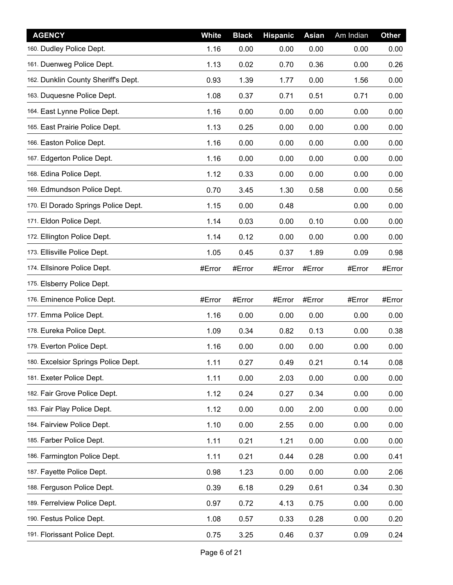| <b>AGENCY</b>                       | <b>White</b> | <b>Black</b> | <b>Hispanic</b> | <b>Asian</b> | Am Indian | Other  |
|-------------------------------------|--------------|--------------|-----------------|--------------|-----------|--------|
| 160. Dudley Police Dept.            | 1.16         | 0.00         | 0.00            | 0.00         | 0.00      | 0.00   |
| 161. Duenweg Police Dept.           | 1.13         | 0.02         | 0.70            | 0.36         | 0.00      | 0.26   |
| 162. Dunklin County Sheriff's Dept. | 0.93         | 1.39         | 1.77            | 0.00         | 1.56      | 0.00   |
| 163. Duquesne Police Dept.          | 1.08         | 0.37         | 0.71            | 0.51         | 0.71      | 0.00   |
| 164. East Lynne Police Dept.        | 1.16         | 0.00         | 0.00            | 0.00         | 0.00      | 0.00   |
| 165. East Prairie Police Dept.      | 1.13         | 0.25         | 0.00            | 0.00         | 0.00      | 0.00   |
| 166. Easton Police Dept.            | 1.16         | 0.00         | 0.00            | 0.00         | 0.00      | 0.00   |
| 167. Edgerton Police Dept.          | 1.16         | 0.00         | 0.00            | 0.00         | 0.00      | 0.00   |
| 168. Edina Police Dept.             | 1.12         | 0.33         | 0.00            | 0.00         | 0.00      | 0.00   |
| 169. Edmundson Police Dept.         | 0.70         | 3.45         | 1.30            | 0.58         | 0.00      | 0.56   |
| 170. El Dorado Springs Police Dept. | 1.15         | 0.00         | 0.48            |              | 0.00      | 0.00   |
| 171. Eldon Police Dept.             | 1.14         | 0.03         | 0.00            | 0.10         | 0.00      | 0.00   |
| 172. Ellington Police Dept.         | 1.14         | 0.12         | 0.00            | 0.00         | 0.00      | 0.00   |
| 173. Ellisville Police Dept.        | 1.05         | 0.45         | 0.37            | 1.89         | 0.09      | 0.98   |
| 174. Ellsinore Police Dept.         | #Error       | #Error       | #Error          | #Error       | #Error    | #Error |
| 175. Elsberry Police Dept.          |              |              |                 |              |           |        |
| 176. Eminence Police Dept.          | #Error       | #Error       | #Error          | #Error       | #Error    | #Error |
| 177. Emma Police Dept.              | 1.16         | 0.00         | 0.00            | 0.00         | 0.00      | 0.00   |
| 178. Eureka Police Dept.            | 1.09         | 0.34         | 0.82            | 0.13         | 0.00      | 0.38   |
| 179. Everton Police Dept.           | 1.16         | 0.00         | 0.00            | 0.00         | 0.00      | 0.00   |
| 180. Excelsior Springs Police Dept. | 1.11         | 0.27         | 0.49            | 0.21         | 0.14      | 0.08   |
| 181. Exeter Police Dept.            | 1.11         | 0.00         | 2.03            | 0.00         | 0.00      | 0.00   |
| 182. Fair Grove Police Dept.        | 1.12         | 0.24         | 0.27            | 0.34         | 0.00      | 0.00   |
| 183. Fair Play Police Dept.         | 1.12         | 0.00         | 0.00            | 2.00         | 0.00      | 0.00   |
| 184. Fairview Police Dept.          | 1.10         | 0.00         | 2.55            | 0.00         | 0.00      | 0.00   |
| 185. Farber Police Dept.            | 1.11         | 0.21         | 1.21            | 0.00         | 0.00      | 0.00   |
| 186. Farmington Police Dept.        | 1.11         | 0.21         | 0.44            | 0.28         | 0.00      | 0.41   |
| 187. Fayette Police Dept.           | 0.98         | 1.23         | 0.00            | 0.00         | 0.00      | 2.06   |
| 188. Ferguson Police Dept.          | 0.39         | 6.18         | 0.29            | 0.61         | 0.34      | 0.30   |
| 189. Ferrelview Police Dept.        | 0.97         | 0.72         | 4.13            | 0.75         | 0.00      | 0.00   |
| 190. Festus Police Dept.            | 1.08         | 0.57         | 0.33            | 0.28         | 0.00      | 0.20   |
| 191. Florissant Police Dept.        | 0.75         | 3.25         | 0.46            | 0.37         | 0.09      | 0.24   |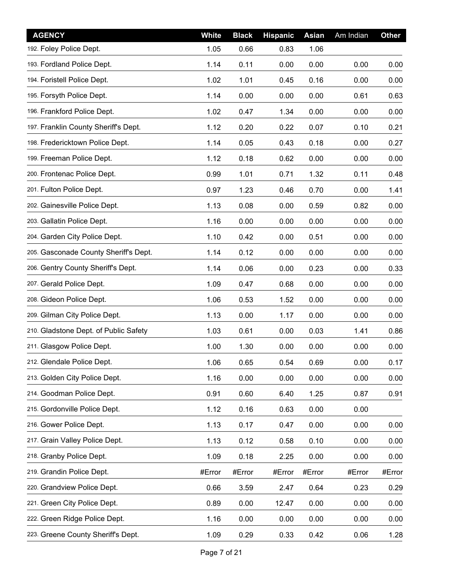| <b>AGENCY</b>                         | <b>White</b> | <b>Black</b> | <b>Hispanic</b> | <b>Asian</b> | Am Indian | <b>Other</b> |
|---------------------------------------|--------------|--------------|-----------------|--------------|-----------|--------------|
| 192. Foley Police Dept.               | 1.05         | 0.66         | 0.83            | 1.06         |           |              |
| 193. Fordland Police Dept.            | 1.14         | 0.11         | 0.00            | 0.00         | 0.00      | 0.00         |
| 194. Foristell Police Dept.           | 1.02         | 1.01         | 0.45            | 0.16         | 0.00      | 0.00         |
| 195. Forsyth Police Dept.             | 1.14         | 0.00         | 0.00            | 0.00         | 0.61      | 0.63         |
| 196. Frankford Police Dept.           | 1.02         | 0.47         | 1.34            | 0.00         | 0.00      | 0.00         |
| 197. Franklin County Sheriff's Dept.  | 1.12         | 0.20         | 0.22            | 0.07         | 0.10      | 0.21         |
| 198. Fredericktown Police Dept.       | 1.14         | 0.05         | 0.43            | 0.18         | 0.00      | 0.27         |
| 199. Freeman Police Dept.             | 1.12         | 0.18         | 0.62            | 0.00         | 0.00      | 0.00         |
| 200. Frontenac Police Dept.           | 0.99         | 1.01         | 0.71            | 1.32         | 0.11      | 0.48         |
| 201. Fulton Police Dept.              | 0.97         | 1.23         | 0.46            | 0.70         | 0.00      | 1.41         |
| 202. Gainesville Police Dept.         | 1.13         | 0.08         | 0.00            | 0.59         | 0.82      | 0.00         |
| 203. Gallatin Police Dept.            | 1.16         | 0.00         | 0.00            | 0.00         | 0.00      | 0.00         |
| 204. Garden City Police Dept.         | 1.10         | 0.42         | 0.00            | 0.51         | 0.00      | 0.00         |
| 205. Gasconade County Sheriff's Dept. | 1.14         | 0.12         | 0.00            | 0.00         | 0.00      | 0.00         |
| 206. Gentry County Sheriff's Dept.    | 1.14         | 0.06         | 0.00            | 0.23         | 0.00      | 0.33         |
| 207. Gerald Police Dept.              | 1.09         | 0.47         | 0.68            | 0.00         | 0.00      | 0.00         |
| 208. Gideon Police Dept.              | 1.06         | 0.53         | 1.52            | 0.00         | 0.00      | 0.00         |
| 209. Gilman City Police Dept.         | 1.13         | 0.00         | 1.17            | 0.00         | 0.00      | 0.00         |
| 210. Gladstone Dept. of Public Safety | 1.03         | 0.61         | 0.00            | 0.03         | 1.41      | 0.86         |
| 211. Glasgow Police Dept.             | 1.00         | 1.30         | 0.00            | 0.00         | 0.00      | 0.00         |
| 212. Glendale Police Dept.            | 1.06         | 0.65         | 0.54            | 0.69         | 0.00      | 0.17         |
| 213. Golden City Police Dept.         | 1.16         | 0.00         | 0.00            | 0.00         | 0.00      | 0.00         |
| 214. Goodman Police Dept.             | 0.91         | 0.60         | 6.40            | 1.25         | 0.87      | 0.91         |
| 215. Gordonville Police Dept.         | 1.12         | 0.16         | 0.63            | 0.00         | 0.00      |              |
| 216. Gower Police Dept.               | 1.13         | 0.17         | 0.47            | 0.00         | 0.00      | 0.00         |
| 217. Grain Valley Police Dept.        | 1.13         | 0.12         | 0.58            | 0.10         | 0.00      | 0.00         |
| 218. Granby Police Dept.              | 1.09         | 0.18         | 2.25            | 0.00         | 0.00      | 0.00         |
| 219. Grandin Police Dept.             | #Error       | #Error       | #Error          | #Error       | #Error    | #Error       |
| 220. Grandview Police Dept.           | 0.66         | 3.59         | 2.47            | 0.64         | 0.23      | 0.29         |
| 221. Green City Police Dept.          | 0.89         | 0.00         | 12.47           | 0.00         | 0.00      | 0.00         |
| 222. Green Ridge Police Dept.         | 1.16         | 0.00         | 0.00            | 0.00         | 0.00      | 0.00         |
| 223. Greene County Sheriff's Dept.    | 1.09         | 0.29         | 0.33            | 0.42         | 0.06      | 1.28         |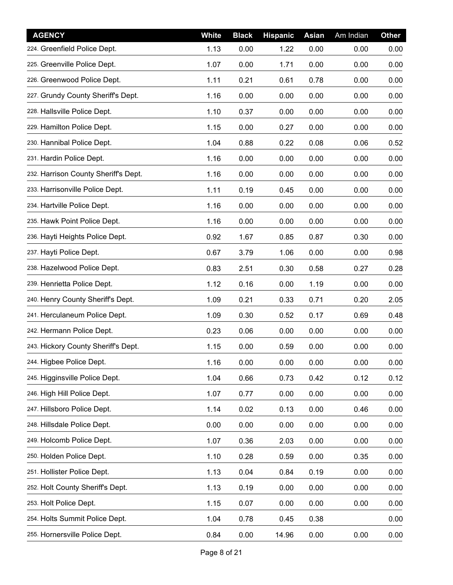| <b>AGENCY</b>                        | <b>White</b> | <b>Black</b> | <b>Hispanic</b> | <b>Asian</b> | Am Indian | Other |
|--------------------------------------|--------------|--------------|-----------------|--------------|-----------|-------|
| 224. Greenfield Police Dept.         | 1.13         | 0.00         | 1.22            | 0.00         | 0.00      | 0.00  |
| 225. Greenville Police Dept.         | 1.07         | 0.00         | 1.71            | 0.00         | 0.00      | 0.00  |
| 226. Greenwood Police Dept.          | 1.11         | 0.21         | 0.61            | 0.78         | 0.00      | 0.00  |
| 227. Grundy County Sheriff's Dept.   | 1.16         | 0.00         | 0.00            | 0.00         | 0.00      | 0.00  |
| 228. Hallsville Police Dept.         | 1.10         | 0.37         | 0.00            | 0.00         | 0.00      | 0.00  |
| 229. Hamilton Police Dept.           | 1.15         | 0.00         | 0.27            | 0.00         | 0.00      | 0.00  |
| 230. Hannibal Police Dept.           | 1.04         | 0.88         | 0.22            | 0.08         | 0.06      | 0.52  |
| 231. Hardin Police Dept.             | 1.16         | 0.00         | 0.00            | 0.00         | 0.00      | 0.00  |
| 232. Harrison County Sheriff's Dept. | 1.16         | 0.00         | 0.00            | 0.00         | 0.00      | 0.00  |
| 233. Harrisonville Police Dept.      | 1.11         | 0.19         | 0.45            | 0.00         | 0.00      | 0.00  |
| 234. Hartville Police Dept.          | 1.16         | 0.00         | 0.00            | 0.00         | 0.00      | 0.00  |
| 235. Hawk Point Police Dept.         | 1.16         | 0.00         | 0.00            | 0.00         | 0.00      | 0.00  |
| 236. Hayti Heights Police Dept.      | 0.92         | 1.67         | 0.85            | 0.87         | 0.30      | 0.00  |
| 237. Hayti Police Dept.              | 0.67         | 3.79         | 1.06            | 0.00         | 0.00      | 0.98  |
| 238. Hazelwood Police Dept.          | 0.83         | 2.51         | 0.30            | 0.58         | 0.27      | 0.28  |
| 239. Henrietta Police Dept.          | 1.12         | 0.16         | 0.00            | 1.19         | 0.00      | 0.00  |
| 240. Henry County Sheriff's Dept.    | 1.09         | 0.21         | 0.33            | 0.71         | 0.20      | 2.05  |
| 241. Herculaneum Police Dept.        | 1.09         | 0.30         | 0.52            | 0.17         | 0.69      | 0.48  |
| 242. Hermann Police Dept.            | 0.23         | 0.06         | 0.00            | 0.00         | 0.00      | 0.00  |
| 243. Hickory County Sheriff's Dept.  | 1.15         | 0.00         | 0.59            | 0.00         | 0.00      | 0.00  |
| 244. Higbee Police Dept.             | 1.16         | 0.00         | 0.00            | 0.00         | 0.00      | 0.00  |
| 245. Higginsville Police Dept.       | 1.04         | 0.66         | 0.73            | 0.42         | 0.12      | 0.12  |
| 246. High Hill Police Dept.          | 1.07         | 0.77         | 0.00            | 0.00         | 0.00      | 0.00  |
| 247. Hillsboro Police Dept.          | 1.14         | 0.02         | 0.13            | 0.00         | 0.46      | 0.00  |
| 248. Hillsdale Police Dept.          | 0.00         | 0.00         | 0.00            | 0.00         | 0.00      | 0.00  |
| 249. Holcomb Police Dept.            | 1.07         | 0.36         | 2.03            | 0.00         | 0.00      | 0.00  |
| 250. Holden Police Dept.             | 1.10         | 0.28         | 0.59            | 0.00         | 0.35      | 0.00  |
| 251. Hollister Police Dept.          | 1.13         | 0.04         | 0.84            | 0.19         | 0.00      | 0.00  |
| 252. Holt County Sheriff's Dept.     | 1.13         | 0.19         | 0.00            | 0.00         | 0.00      | 0.00  |
| 253. Holt Police Dept.               | 1.15         | 0.07         | 0.00            | 0.00         | 0.00      | 0.00  |
| 254. Holts Summit Police Dept.       | 1.04         | 0.78         | 0.45            | 0.38         |           | 0.00  |
| 255. Hornersville Police Dept.       | 0.84         | 0.00         | 14.96           | 0.00         | 0.00      | 0.00  |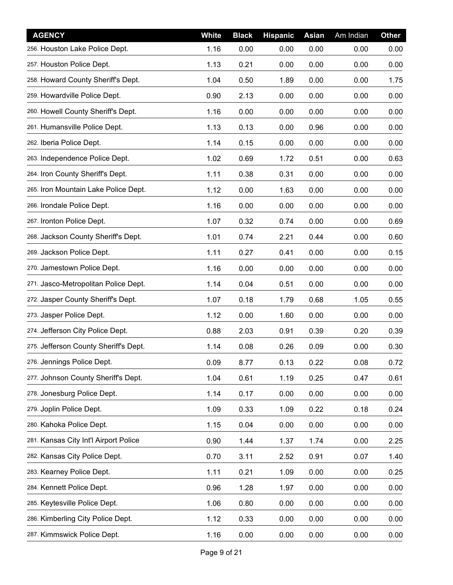| <b>AGENCY</b>                         | <b>White</b> | <b>Black</b> | <b>Hispanic</b> | <b>Asian</b> | Am Indian | <b>Other</b> |
|---------------------------------------|--------------|--------------|-----------------|--------------|-----------|--------------|
| 256. Houston Lake Police Dept.        | 1.16         | 0.00         | 0.00            | 0.00         | 0.00      | 0.00         |
| 257. Houston Police Dept.             | 1.13         | 0.21         | 0.00            | 0.00         | 0.00      | 0.00         |
| 258. Howard County Sheriff's Dept.    | 1.04         | 0.50         | 1.89            | 0.00         | 0.00      | 1.75         |
| 259. Howardville Police Dept.         | 0.90         | 2.13         | 0.00            | 0.00         | 0.00      | 0.00         |
| 260. Howell County Sheriff's Dept.    | 1.16         | 0.00         | 0.00            | 0.00         | 0.00      | 0.00         |
| 261. Humansville Police Dept.         | 1.13         | 0.13         | 0.00            | 0.96         | 0.00      | 0.00         |
| 262. Iberia Police Dept.              | 1.14         | 0.15         | 0.00            | 0.00         | 0.00      | 0.00         |
| 263. Independence Police Dept.        | 1.02         | 0.69         | 1.72            | 0.51         | 0.00      | 0.63         |
| 264. Iron County Sheriff's Dept.      | 1.11         | 0.38         | 0.31            | 0.00         | 0.00      | 0.00         |
| 265. Iron Mountain Lake Police Dept.  | 1.12         | 0.00         | 1.63            | 0.00         | 0.00      | 0.00         |
| 266. Irondale Police Dept.            | 1.16         | 0.00         | 0.00            | 0.00         | 0.00      | 0.00         |
| 267. Ironton Police Dept.             | 1.07         | 0.32         | 0.74            | 0.00         | 0.00      | 0.69         |
| 268. Jackson County Sheriff's Dept.   | 1.01         | 0.74         | 2.21            | 0.44         | 0.00      | 0.60         |
| 269. Jackson Police Dept.             | 1.11         | 0.27         | 0.41            | 0.00         | 0.00      | 0.15         |
| 270. Jamestown Police Dept.           | 1.16         | 0.00         | 0.00            | 0.00         | 0.00      | 0.00         |
| 271. Jasco-Metropolitan Police Dept.  | 1.14         | 0.04         | 0.51            | 0.00         | 0.00      | 0.00         |
| 272. Jasper County Sheriff's Dept.    | 1.07         | 0.18         | 1.79            | 0.68         | 1.05      | 0.55         |
| 273. Jasper Police Dept.              | 1.12         | 0.00         | 1.60            | 0.00         | 0.00      | 0.00         |
| 274. Jefferson City Police Dept.      | 0.88         | 2.03         | 0.91            | 0.39         | 0.20      | 0.39         |
| 275. Jefferson County Sheriff's Dept. | 1.14         | 0.08         | 0.26            | 0.09         | 0.00      | 0.30         |
| 276. Jennings Police Dept.            | 0.09         | 8.77         | 0.13            | 0.22         | 0.08      | 0.72         |
| 277. Johnson County Sheriff's Dept.   | 1.04         | 0.61         | 1.19            | 0.25         | 0.47      | 0.61         |
| 278. Jonesburg Police Dept.           | 1.14         | 0.17         | 0.00            | 0.00         | 0.00      | 0.00         |
| 279. Joplin Police Dept.              | 1.09         | 0.33         | 1.09            | 0.22         | 0.18      | 0.24         |
| 280. Kahoka Police Dept.              | 1.15         | 0.04         | 0.00            | 0.00         | 0.00      | 0.00         |
| 281. Kansas City Int'l Airport Police | 0.90         | 1.44         | 1.37            | 1.74         | 0.00      | 2.25         |
| 282. Kansas City Police Dept.         | 0.70         | 3.11         | 2.52            | 0.91         | 0.07      | 1.40         |
| 283. Kearney Police Dept.             | 1.11         | 0.21         | 1.09            | 0.00         | 0.00      | 0.25         |
| 284. Kennett Police Dept.             | 0.96         | 1.28         | 1.97            | 0.00         | 0.00      | 0.00         |
| 285. Keytesville Police Dept.         | 1.06         | 0.80         | 0.00            | 0.00         | 0.00      | 0.00         |
| 286. Kimberling City Police Dept.     | 1.12         | 0.33         | 0.00            | 0.00         | 0.00      | 0.00         |
| 287. Kimmswick Police Dept.           | 1.16         | 0.00         | 0.00            | 0.00         | 0.00      | 0.00         |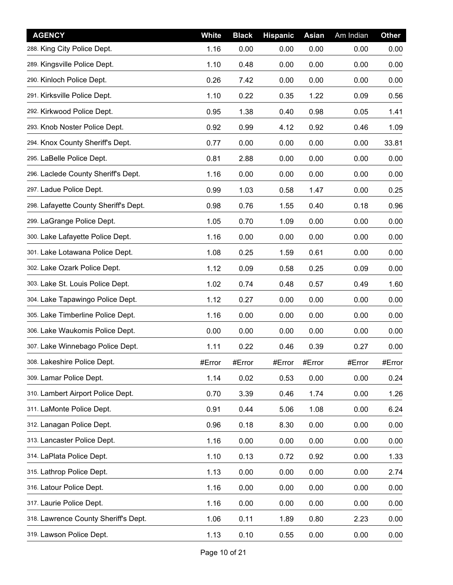| <b>AGENCY</b>                         | <b>White</b> | <b>Black</b> | <b>Hispanic</b> | <b>Asian</b> | Am Indian | <b>Other</b> |
|---------------------------------------|--------------|--------------|-----------------|--------------|-----------|--------------|
| 288. King City Police Dept.           | 1.16         | 0.00         | 0.00            | 0.00         | 0.00      | 0.00         |
| 289. Kingsville Police Dept.          | 1.10         | 0.48         | 0.00            | 0.00         | 0.00      | 0.00         |
| 290. Kinloch Police Dept.             | 0.26         | 7.42         | 0.00            | 0.00         | 0.00      | 0.00         |
| 291. Kirksville Police Dept.          | 1.10         | 0.22         | 0.35            | 1.22         | 0.09      | 0.56         |
| 292. Kirkwood Police Dept.            | 0.95         | 1.38         | 0.40            | 0.98         | 0.05      | 1.41         |
| 293. Knob Noster Police Dept.         | 0.92         | 0.99         | 4.12            | 0.92         | 0.46      | 1.09         |
| 294. Knox County Sheriff's Dept.      | 0.77         | 0.00         | 0.00            | 0.00         | 0.00      | 33.81        |
| 295. LaBelle Police Dept.             | 0.81         | 2.88         | 0.00            | 0.00         | 0.00      | 0.00         |
| 296. Laclede County Sheriff's Dept.   | 1.16         | 0.00         | 0.00            | 0.00         | 0.00      | 0.00         |
| 297. Ladue Police Dept.               | 0.99         | 1.03         | 0.58            | 1.47         | 0.00      | 0.25         |
| 298. Lafayette County Sheriff's Dept. | 0.98         | 0.76         | 1.55            | 0.40         | 0.18      | 0.96         |
| 299. LaGrange Police Dept.            | 1.05         | 0.70         | 1.09            | 0.00         | 0.00      | 0.00         |
| 300. Lake Lafayette Police Dept.      | 1.16         | 0.00         | 0.00            | 0.00         | 0.00      | 0.00         |
| 301. Lake Lotawana Police Dept.       | 1.08         | 0.25         | 1.59            | 0.61         | 0.00      | 0.00         |
| 302. Lake Ozark Police Dept.          | 1.12         | 0.09         | 0.58            | 0.25         | 0.09      | 0.00         |
| 303. Lake St. Louis Police Dept.      | 1.02         | 0.74         | 0.48            | 0.57         | 0.49      | 1.60         |
| 304. Lake Tapawingo Police Dept.      | 1.12         | 0.27         | 0.00            | 0.00         | 0.00      | 0.00         |
| 305. Lake Timberline Police Dept.     | 1.16         | 0.00         | 0.00            | 0.00         | 0.00      | 0.00         |
| 306. Lake Waukomis Police Dept.       | 0.00         | 0.00         | 0.00            | 0.00         | 0.00      | 0.00         |
| 307. Lake Winnebago Police Dept.      | 1.11         | 0.22         | 0.46            | 0.39         | 0.27      | 0.00         |
| 308. Lakeshire Police Dept.           | #Error       | #Error       | #Error          | #Error       | #Error    | #Error       |
| 309. Lamar Police Dept.               | 1.14         | 0.02         | 0.53            | 0.00         | 0.00      | 0.24         |
| 310. Lambert Airport Police Dept.     | 0.70         | 3.39         | 0.46            | 1.74         | 0.00      | 1.26         |
| 311. LaMonte Police Dept.             | 0.91         | 0.44         | 5.06            | 1.08         | 0.00      | 6.24         |
| 312. Lanagan Police Dept.             | 0.96         | 0.18         | 8.30            | 0.00         | 0.00      | 0.00         |
| 313. Lancaster Police Dept.           | 1.16         | 0.00         | 0.00            | 0.00         | 0.00      | 0.00         |
| 314. LaPlata Police Dept.             | 1.10         | 0.13         | 0.72            | 0.92         | 0.00      | 1.33         |
| 315. Lathrop Police Dept.             | 1.13         | 0.00         | 0.00            | 0.00         | 0.00      | 2.74         |
| 316. Latour Police Dept.              | 1.16         | 0.00         | 0.00            | 0.00         | 0.00      | 0.00         |
| 317. Laurie Police Dept.              | 1.16         | 0.00         | 0.00            | 0.00         | 0.00      | 0.00         |
| 318. Lawrence County Sheriff's Dept.  | 1.06         | 0.11         | 1.89            | 0.80         | 2.23      | 0.00         |
| 319. Lawson Police Dept.              | 1.13         | 0.10         | 0.55            | 0.00         | 0.00      | 0.00         |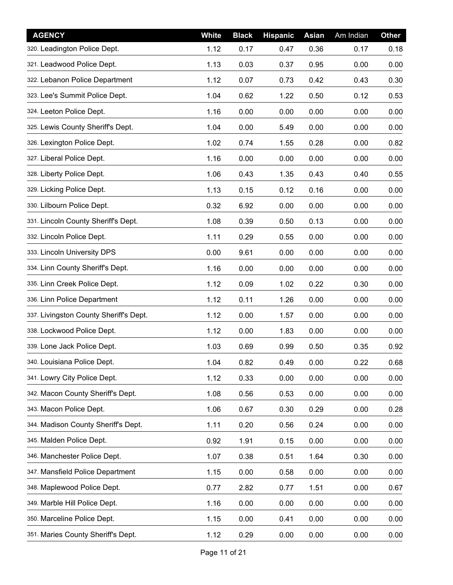| <b>AGENCY</b>                          | <b>White</b> | <b>Black</b> | <b>Hispanic</b> | <b>Asian</b> | Am Indian | Other |
|----------------------------------------|--------------|--------------|-----------------|--------------|-----------|-------|
| 320. Leadington Police Dept.           | 1.12         | 0.17         | 0.47            | 0.36         | 0.17      | 0.18  |
| 321. Leadwood Police Dept.             | 1.13         | 0.03         | 0.37            | 0.95         | 0.00      | 0.00  |
| 322. Lebanon Police Department         | 1.12         | 0.07         | 0.73            | 0.42         | 0.43      | 0.30  |
| 323. Lee's Summit Police Dept.         | 1.04         | 0.62         | 1.22            | 0.50         | 0.12      | 0.53  |
| 324. Leeton Police Dept.               | 1.16         | 0.00         | 0.00            | 0.00         | 0.00      | 0.00  |
| 325. Lewis County Sheriff's Dept.      | 1.04         | 0.00         | 5.49            | 0.00         | 0.00      | 0.00  |
| 326. Lexington Police Dept.            | 1.02         | 0.74         | 1.55            | 0.28         | 0.00      | 0.82  |
| 327. Liberal Police Dept.              | 1.16         | 0.00         | 0.00            | 0.00         | 0.00      | 0.00  |
| 328. Liberty Police Dept.              | 1.06         | 0.43         | 1.35            | 0.43         | 0.40      | 0.55  |
| 329. Licking Police Dept.              | 1.13         | 0.15         | 0.12            | 0.16         | 0.00      | 0.00  |
| 330. Lilbourn Police Dept.             | 0.32         | 6.92         | 0.00            | 0.00         | 0.00      | 0.00  |
| 331. Lincoln County Sheriff's Dept.    | 1.08         | 0.39         | 0.50            | 0.13         | 0.00      | 0.00  |
| 332. Lincoln Police Dept.              | 1.11         | 0.29         | 0.55            | 0.00         | 0.00      | 0.00  |
| 333. Lincoln University DPS            | 0.00         | 9.61         | 0.00            | 0.00         | 0.00      | 0.00  |
| 334. Linn County Sheriff's Dept.       | 1.16         | 0.00         | 0.00            | 0.00         | 0.00      | 0.00  |
| 335. Linn Creek Police Dept.           | 1.12         | 0.09         | 1.02            | 0.22         | 0.30      | 0.00  |
| 336. Linn Police Department            | 1.12         | 0.11         | 1.26            | 0.00         | 0.00      | 0.00  |
| 337. Livingston County Sheriff's Dept. | 1.12         | 0.00         | 1.57            | 0.00         | 0.00      | 0.00  |
| 338. Lockwood Police Dept.             | 1.12         | 0.00         | 1.83            | 0.00         | 0.00      | 0.00  |
| 339. Lone Jack Police Dept.            | 1.03         | 0.69         | 0.99            | 0.50         | 0.35      | 0.92  |
| 340. Louisiana Police Dept.            | 1.04         | 0.82         | 0.49            | 0.00         | 0.22      | 0.68  |
| 341. Lowry City Police Dept.           | 1.12         | 0.33         | 0.00            | 0.00         | 0.00      | 0.00  |
| 342. Macon County Sheriff's Dept.      | 1.08         | 0.56         | 0.53            | 0.00         | 0.00      | 0.00  |
| 343. Macon Police Dept.                | 1.06         | 0.67         | 0.30            | 0.29         | 0.00      | 0.28  |
| 344. Madison County Sheriff's Dept.    | 1.11         | 0.20         | 0.56            | 0.24         | 0.00      | 0.00  |
| 345. Malden Police Dept.               | 0.92         | 1.91         | 0.15            | 0.00         | 0.00      | 0.00  |
| 346. Manchester Police Dept.           | 1.07         | 0.38         | 0.51            | 1.64         | 0.30      | 0.00  |
| 347. Mansfield Police Department       | 1.15         | 0.00         | 0.58            | 0.00         | 0.00      | 0.00  |
| 348. Maplewood Police Dept.            | 0.77         | 2.82         | 0.77            | 1.51         | 0.00      | 0.67  |
| 349. Marble Hill Police Dept.          | 1.16         | 0.00         | 0.00            | 0.00         | 0.00      | 0.00  |
| 350. Marceline Police Dept.            | 1.15         | 0.00         | 0.41            | 0.00         | 0.00      | 0.00  |
| 351. Maries County Sheriff's Dept.     | 1.12         | 0.29         | 0.00            | 0.00         | 0.00      | 0.00  |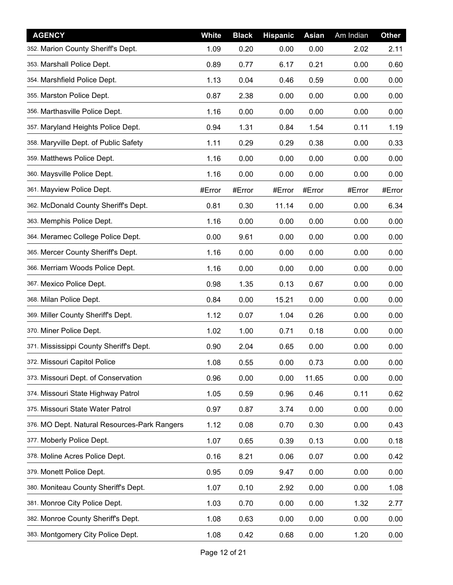| <b>AGENCY</b>                                | <b>White</b> | <b>Black</b> | <b>Hispanic</b> | <b>Asian</b> | Am Indian | Other  |
|----------------------------------------------|--------------|--------------|-----------------|--------------|-----------|--------|
| 352. Marion County Sheriff's Dept.           | 1.09         | 0.20         | 0.00            | 0.00         | 2.02      | 2.11   |
| 353. Marshall Police Dept.                   | 0.89         | 0.77         | 6.17            | 0.21         | 0.00      | 0.60   |
| 354. Marshfield Police Dept.                 | 1.13         | 0.04         | 0.46            | 0.59         | 0.00      | 0.00   |
| 355. Marston Police Dept.                    | 0.87         | 2.38         | 0.00            | 0.00         | 0.00      | 0.00   |
| 356. Marthasville Police Dept.               | 1.16         | 0.00         | 0.00            | 0.00         | 0.00      | 0.00   |
| 357. Maryland Heights Police Dept.           | 0.94         | 1.31         | 0.84            | 1.54         | 0.11      | 1.19   |
| 358. Maryville Dept. of Public Safety        | 1.11         | 0.29         | 0.29            | 0.38         | 0.00      | 0.33   |
| 359. Matthews Police Dept.                   | 1.16         | 0.00         | 0.00            | 0.00         | 0.00      | 0.00   |
| 360. Maysville Police Dept.                  | 1.16         | 0.00         | 0.00            | 0.00         | 0.00      | 0.00   |
| 361. Mayview Police Dept.                    | #Error       | #Error       | #Error          | #Error       | #Error    | #Error |
| 362. McDonald County Sheriff's Dept.         | 0.81         | 0.30         | 11.14           | 0.00         | 0.00      | 6.34   |
| 363. Memphis Police Dept.                    | 1.16         | 0.00         | 0.00            | 0.00         | 0.00      | 0.00   |
| 364. Meramec College Police Dept.            | 0.00         | 9.61         | 0.00            | 0.00         | 0.00      | 0.00   |
| 365. Mercer County Sheriff's Dept.           | 1.16         | 0.00         | 0.00            | 0.00         | 0.00      | 0.00   |
| 366. Merriam Woods Police Dept.              | 1.16         | 0.00         | 0.00            | 0.00         | 0.00      | 0.00   |
| 367. Mexico Police Dept.                     | 0.98         | 1.35         | 0.13            | 0.67         | 0.00      | 0.00   |
| 368. Milan Police Dept.                      | 0.84         | 0.00         | 15.21           | 0.00         | 0.00      | 0.00   |
| 369. Miller County Sheriff's Dept.           | 1.12         | 0.07         | 1.04            | 0.26         | 0.00      | 0.00   |
| 370. Miner Police Dept.                      | 1.02         | 1.00         | 0.71            | 0.18         | 0.00      | 0.00   |
| 371 Mississippi County Sheriff's Dept.       | 0.90         | 2.04         | 0.65            | 0.00         | 0.00      | 0.00   |
| 372. Missouri Capitol Police                 | 1.08         | 0.55         | 0.00            | 0.73         | 0.00      | 0.00   |
| 373. Missouri Dept. of Conservation          | 0.96         | 0.00         | 0.00            | 11.65        | 0.00      | 0.00   |
| 374. Missouri State Highway Patrol           | 1.05         | 0.59         | 0.96            | 0.46         | 0.11      | 0.62   |
| 375. Missouri State Water Patrol             | 0.97         | 0.87         | 3.74            | 0.00         | 0.00      | 0.00   |
| 376. MO Dept. Natural Resources-Park Rangers | 1.12         | 0.08         | 0.70            | 0.30         | 0.00      | 0.43   |
| 377. Moberly Police Dept.                    | 1.07         | 0.65         | 0.39            | 0.13         | 0.00      | 0.18   |
| 378. Moline Acres Police Dept.               | 0.16         | 8.21         | 0.06            | 0.07         | 0.00      | 0.42   |
| 379. Monett Police Dept.                     | 0.95         | 0.09         | 9.47            | 0.00         | 0.00      | 0.00   |
| 380. Moniteau County Sheriff's Dept.         | 1.07         | 0.10         | 2.92            | 0.00         | 0.00      | 1.08   |
| 381. Monroe City Police Dept.                | 1.03         | 0.70         | 0.00            | 0.00         | 1.32      | 2.77   |
| 382. Monroe County Sheriff's Dept.           | 1.08         | 0.63         | 0.00            | 0.00         | 0.00      | 0.00   |
| 383. Montgomery City Police Dept.            | 1.08         | 0.42         | 0.68            | 0.00         | 1.20      | 0.00   |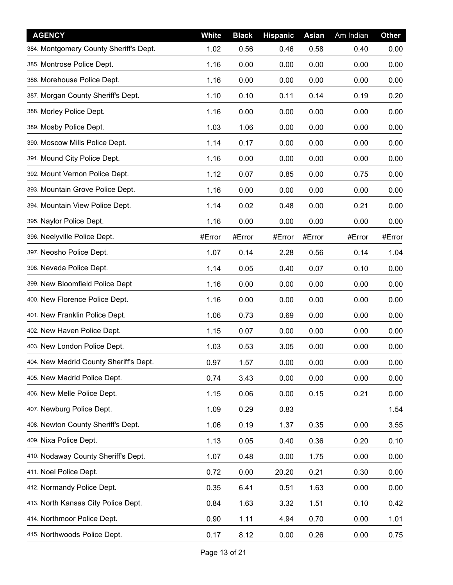| <b>AGENCY</b>                          | <b>White</b> | <b>Black</b> | <b>Hispanic</b> | <b>Asian</b> | Am Indian | Other  |
|----------------------------------------|--------------|--------------|-----------------|--------------|-----------|--------|
| 384. Montgomery County Sheriff's Dept. | 1.02         | 0.56         | 0.46            | 0.58         | 0.40      | 0.00   |
| 385. Montrose Police Dept.             | 1.16         | 0.00         | 0.00            | 0.00         | 0.00      | 0.00   |
| 386. Morehouse Police Dept.            | 1.16         | 0.00         | 0.00            | 0.00         | 0.00      | 0.00   |
| 387. Morgan County Sheriff's Dept.     | 1.10         | 0.10         | 0.11            | 0.14         | 0.19      | 0.20   |
| 388. Morley Police Dept.               | 1.16         | 0.00         | 0.00            | 0.00         | 0.00      | 0.00   |
| 389. Mosby Police Dept.                | 1.03         | 1.06         | 0.00            | 0.00         | 0.00      | 0.00   |
| 390. Moscow Mills Police Dept.         | 1.14         | 0.17         | 0.00            | 0.00         | 0.00      | 0.00   |
| 391. Mound City Police Dept.           | 1.16         | 0.00         | 0.00            | 0.00         | 0.00      | 0.00   |
| 392. Mount Vernon Police Dept.         | 1.12         | 0.07         | 0.85            | 0.00         | 0.75      | 0.00   |
| 393. Mountain Grove Police Dept.       | 1.16         | 0.00         | 0.00            | 0.00         | 0.00      | 0.00   |
| 394. Mountain View Police Dept.        | 1.14         | 0.02         | 0.48            | 0.00         | 0.21      | 0.00   |
| 395. Naylor Police Dept.               | 1.16         | 0.00         | 0.00            | 0.00         | 0.00      | 0.00   |
| 396. Neelyville Police Dept.           | #Error       | #Error       | #Error          | #Error       | #Error    | #Error |
| 397. Neosho Police Dept.               | 1.07         | 0.14         | 2.28            | 0.56         | 0.14      | 1.04   |
| 398. Nevada Police Dept.               | 1.14         | 0.05         | 0.40            | 0.07         | 0.10      | 0.00   |
| 399. New Bloomfield Police Dept        | 1.16         | 0.00         | 0.00            | 0.00         | 0.00      | 0.00   |
| 400. New Florence Police Dept.         | 1.16         | 0.00         | 0.00            | 0.00         | 0.00      | 0.00   |
| 401. New Franklin Police Dept.         | 1.06         | 0.73         | 0.69            | 0.00         | 0.00      | 0.00   |
| 402. New Haven Police Dept.            | 1.15         | 0.07         | 0.00            | 0.00         | 0.00      | 0.00   |
| 403. New London Police Dept.           | 1.03         | 0.53         | 3.05            | 0.00         | 0.00      | 0.00   |
| 404. New Madrid County Sheriff's Dept. | 0.97         | 1.57         | 0.00            | 0.00         | 0.00      | 0.00   |
| 405. New Madrid Police Dept.           | 0.74         | 3.43         | 0.00            | 0.00         | 0.00      | 0.00   |
| 406. New Melle Police Dept.            | 1.15         | 0.06         | 0.00            | 0.15         | 0.21      | 0.00   |
| 407. Newburg Police Dept.              | 1.09         | 0.29         | 0.83            |              |           | 1.54   |
| 408. Newton County Sheriff's Dept.     | 1.06         | 0.19         | 1.37            | 0.35         | 0.00      | 3.55   |
| 409. Nixa Police Dept.                 | 1.13         | 0.05         | 0.40            | 0.36         | 0.20      | 0.10   |
| 410. Nodaway County Sheriff's Dept.    | 1.07         | 0.48         | 0.00            | 1.75         | 0.00      | 0.00   |
| 411. Noel Police Dept.                 | 0.72         | 0.00         | 20.20           | 0.21         | 0.30      | 0.00   |
| 412. Normandy Police Dept.             | 0.35         | 6.41         | 0.51            | 1.63         | 0.00      | 0.00   |
| 413. North Kansas City Police Dept.    | 0.84         | 1.63         | 3.32            | 1.51         | 0.10      | 0.42   |
| 414. Northmoor Police Dept.            | 0.90         | 1.11         | 4.94            | 0.70         | 0.00      | 1.01   |
| 415. Northwoods Police Dept.           | 0.17         | 8.12         | 0.00            | 0.26         | 0.00      | 0.75   |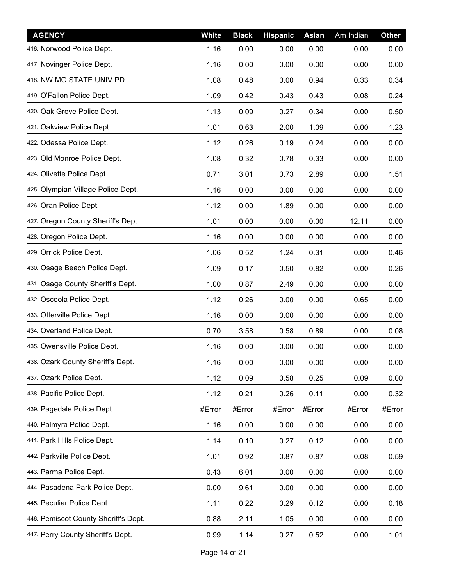| <b>AGENCY</b>                        | <b>White</b> | <b>Black</b> | <b>Hispanic</b> | <b>Asian</b> | Am Indian | Other  |
|--------------------------------------|--------------|--------------|-----------------|--------------|-----------|--------|
| 416. Norwood Police Dept.            | 1.16         | 0.00         | 0.00            | 0.00         | 0.00      | 0.00   |
| 417. Novinger Police Dept.           | 1.16         | 0.00         | 0.00            | 0.00         | 0.00      | 0.00   |
| 418. NW MO STATE UNIV PD             | 1.08         | 0.48         | 0.00            | 0.94         | 0.33      | 0.34   |
| 419. O'Fallon Police Dept.           | 1.09         | 0.42         | 0.43            | 0.43         | 0.08      | 0.24   |
| 420. Oak Grove Police Dept.          | 1.13         | 0.09         | 0.27            | 0.34         | 0.00      | 0.50   |
| 421. Oakview Police Dept.            | 1.01         | 0.63         | 2.00            | 1.09         | 0.00      | 1.23   |
| 422. Odessa Police Dept.             | 1.12         | 0.26         | 0.19            | 0.24         | 0.00      | 0.00   |
| 423. Old Monroe Police Dept.         | 1.08         | 0.32         | 0.78            | 0.33         | 0.00      | 0.00   |
| 424. Olivette Police Dept.           | 0.71         | 3.01         | 0.73            | 2.89         | 0.00      | 1.51   |
| 425. Olympian Village Police Dept.   | 1.16         | 0.00         | 0.00            | 0.00         | 0.00      | 0.00   |
| 426. Oran Police Dept.               | 1.12         | 0.00         | 1.89            | 0.00         | 0.00      | 0.00   |
| 427. Oregon County Sheriff's Dept.   | 1.01         | 0.00         | 0.00            | 0.00         | 12.11     | 0.00   |
| 428. Oregon Police Dept.             | 1.16         | 0.00         | 0.00            | 0.00         | 0.00      | 0.00   |
| 429. Orrick Police Dept.             | 1.06         | 0.52         | 1.24            | 0.31         | 0.00      | 0.46   |
| 430. Osage Beach Police Dept.        | 1.09         | 0.17         | 0.50            | 0.82         | 0.00      | 0.26   |
| 431. Osage County Sheriff's Dept.    | 1.00         | 0.87         | 2.49            | 0.00         | 0.00      | 0.00   |
| 432. Osceola Police Dept.            | 1.12         | 0.26         | 0.00            | 0.00         | 0.65      | 0.00   |
| 433. Otterville Police Dept.         | 1.16         | 0.00         | 0.00            | 0.00         | 0.00      | 0.00   |
| 434. Overland Police Dept.           | 0.70         | 3.58         | 0.58            | 0.89         | 0.00      | 0.08   |
| 435. Owensville Police Dept.         | 1.16         | 0.00         | 0.00            | 0.00         | 0.00      | 0.00   |
| 436. Ozark County Sheriff's Dept.    | 1.16         | 0.00         | 0.00            | 0.00         | 0.00      | 0.00   |
| 437. Ozark Police Dept.              | 1.12         | 0.09         | 0.58            | 0.25         | 0.09      | 0.00   |
| 438. Pacific Police Dept.            | 1.12         | 0.21         | 0.26            | 0.11         | 0.00      | 0.32   |
| 439. Pagedale Police Dept.           | #Error       | #Error       | #Error          | #Error       | #Error    | #Error |
| 440. Palmyra Police Dept.            | 1.16         | 0.00         | 0.00            | 0.00         | 0.00      | 0.00   |
| 441. Park Hills Police Dept.         | 1.14         | 0.10         | 0.27            | 0.12         | 0.00      | 0.00   |
| 442. Parkville Police Dept.          | 1.01         | 0.92         | 0.87            | 0.87         | 0.08      | 0.59   |
| 443. Parma Police Dept.              | 0.43         | 6.01         | 0.00            | 0.00         | 0.00      | 0.00   |
| 444. Pasadena Park Police Dept.      | 0.00         | 9.61         | 0.00            | 0.00         | 0.00      | 0.00   |
| 445. Peculiar Police Dept.           | 1.11         | 0.22         | 0.29            | 0.12         | 0.00      | 0.18   |
| 446. Pemiscot County Sheriff's Dept. | 0.88         | 2.11         | 1.05            | 0.00         | 0.00      | 0.00   |
| 447. Perry County Sheriff's Dept.    | 0.99         | 1.14         | 0.27            | 0.52         | 0.00      | 1.01   |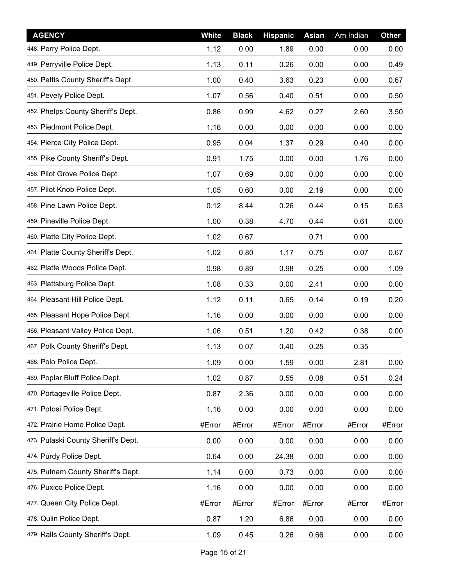| <b>AGENCY</b>                       | <b>White</b> | <b>Black</b> | <b>Hispanic</b> | <b>Asian</b> | Am Indian | <b>Other</b> |
|-------------------------------------|--------------|--------------|-----------------|--------------|-----------|--------------|
| 448. Perry Police Dept.             | 1.12         | 0.00         | 1.89            | 0.00         | 0.00      | 0.00         |
| 449. Perryville Police Dept.        | 1.13         | 0.11         | 0.26            | 0.00         | 0.00      | 0.49         |
| 450. Pettis County Sheriff's Dept.  | 1.00         | 0.40         | 3.63            | 0.23         | 0.00      | 0.67         |
| 451. Pevely Police Dept.            | 1.07         | 0.56         | 0.40            | 0.51         | 0.00      | 0.50         |
| 452. Phelps County Sheriff's Dept.  | 0.86         | 0.99         | 4.62            | 0.27         | 2.60      | 3.50         |
| 453. Piedmont Police Dept.          | 1.16         | 0.00         | 0.00            | 0.00         | 0.00      | 0.00         |
| 454. Pierce City Police Dept.       | 0.95         | 0.04         | 1.37            | 0.29         | 0.40      | 0.00         |
| 455. Pike County Sheriff's Dept.    | 0.91         | 1.75         | 0.00            | 0.00         | 1.76      | 0.00         |
| 456. Pilot Grove Police Dept.       | 1.07         | 0.69         | 0.00            | 0.00         | 0.00      | 0.00         |
| 457. Pilot Knob Police Dept.        | 1.05         | 0.60         | 0.00            | 2.19         | 0.00      | 0.00         |
| 458. Pine Lawn Police Dept.         | 0.12         | 8.44         | 0.26            | 0.44         | 0.15      | 0.63         |
| 459. Pineville Police Dept.         | 1.00         | 0.38         | 4.70            | 0.44         | 0.61      | 0.00         |
| 460. Platte City Police Dept.       | 1.02         | 0.67         |                 | 0.71         | 0.00      |              |
| 461. Platte County Sheriff's Dept.  | 1.02         | 0.80         | 1.17            | 0.75         | 0.07      | 0.67         |
| 462. Platte Woods Police Dept.      | 0.98         | 0.89         | 0.98            | 0.25         | 0.00      | 1.09         |
| 463. Plattsburg Police Dept.        | 1.08         | 0.33         | 0.00            | 2.41         | 0.00      | 0.00         |
| 464. Pleasant Hill Police Dept.     | 1.12         | 0.11         | 0.65            | 0.14         | 0.19      | 0.20         |
| 465. Pleasant Hope Police Dept.     | 1.16         | 0.00         | 0.00            | 0.00         | 0.00      | 0.00         |
| 466. Pleasant Valley Police Dept.   | 1.06         | 0.51         | 1.20            | 0.42         | 0.38      | 0.00         |
| 467. Polk County Sheriff's Dept.    | 1.13         | 0.07         | 0.40            | 0.25         | 0.35      |              |
| 468. Polo Police Dept.              | 1.09         | 0.00         | 1.59            | 0.00         | 2.81      | 0.00         |
| 469. Poplar Bluff Police Dept.      | 1.02         | 0.87         | 0.55            | 0.08         | 0.51      | 0.24         |
| 470. Portageville Police Dept.      | 0.87         | 2.36         | 0.00            | 0.00         | 0.00      | 0.00         |
| 471. Potosi Police Dept.            | 1.16         | 0.00         | 0.00            | 0.00         | 0.00      | 0.00         |
| 472. Prairie Home Police Dept.      | #Error       | #Error       | #Error          | #Error       | #Error    | #Error       |
| 473. Pulaski County Sheriff's Dept. | 0.00         | 0.00         | 0.00            | 0.00         | 0.00      | 0.00         |
| 474. Purdy Police Dept.             | 0.64         | 0.00         | 24.38           | 0.00         | 0.00      | 0.00         |
| 475. Putnam County Sheriff's Dept.  | 1.14         | 0.00         | 0.73            | 0.00         | 0.00      | 0.00         |
| 476. Puxico Police Dept.            | 1.16         | 0.00         | 0.00            | 0.00         | 0.00      | 0.00         |
| 477. Queen City Police Dept.        | #Error       | #Error       | #Error          | #Error       | #Error    | #Error       |
| 478. Qulin Police Dept.             | 0.87         | 1.20         | 6.86            | 0.00         | 0.00      | 0.00         |
| 479. Ralls County Sheriff's Dept.   | 1.09         | 0.45         | 0.26            | 0.66         | 0.00      | 0.00         |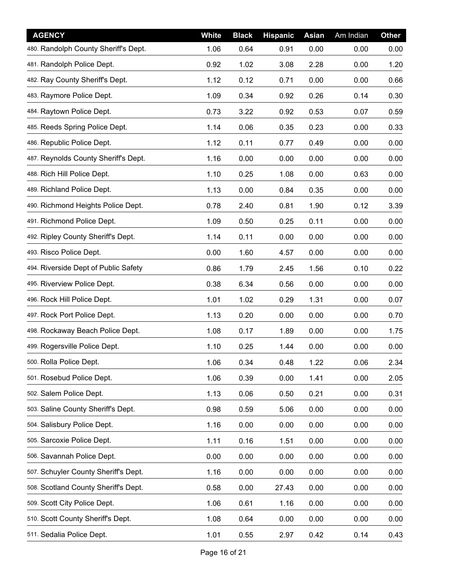| <b>AGENCY</b>                        | <b>White</b> | <b>Black</b> | <b>Hispanic</b> | <b>Asian</b> | Am Indian | <b>Other</b> |
|--------------------------------------|--------------|--------------|-----------------|--------------|-----------|--------------|
| 480. Randolph County Sheriff's Dept. | 1.06         | 0.64         | 0.91            | 0.00         | 0.00      | 0.00         |
| 481. Randolph Police Dept.           | 0.92         | 1.02         | 3.08            | 2.28         | 0.00      | 1.20         |
| 482. Ray County Sheriff's Dept.      | 1.12         | 0.12         | 0.71            | 0.00         | 0.00      | 0.66         |
| 483. Raymore Police Dept.            | 1.09         | 0.34         | 0.92            | 0.26         | 0.14      | 0.30         |
| 484. Raytown Police Dept.            | 0.73         | 3.22         | 0.92            | 0.53         | 0.07      | 0.59         |
| 485. Reeds Spring Police Dept.       | 1.14         | 0.06         | 0.35            | 0.23         | 0.00      | 0.33         |
| 486. Republic Police Dept.           | 1.12         | 0.11         | 0.77            | 0.49         | 0.00      | 0.00         |
| 487. Reynolds County Sheriff's Dept. | 1.16         | 0.00         | 0.00            | 0.00         | 0.00      | 0.00         |
| 488. Rich Hill Police Dept.          | 1.10         | 0.25         | 1.08            | 0.00         | 0.63      | 0.00         |
| 489. Richland Police Dept.           | 1.13         | 0.00         | 0.84            | 0.35         | 0.00      | 0.00         |
| 490. Richmond Heights Police Dept.   | 0.78         | 2.40         | 0.81            | 1.90         | 0.12      | 3.39         |
| 491. Richmond Police Dept.           | 1.09         | 0.50         | 0.25            | 0.11         | 0.00      | 0.00         |
| 492. Ripley County Sheriff's Dept.   | 1.14         | 0.11         | 0.00            | 0.00         | 0.00      | 0.00         |
| 493. Risco Police Dept.              | 0.00         | 1.60         | 4.57            | 0.00         | 0.00      | 0.00         |
| 494. Riverside Dept of Public Safety | 0.86         | 1.79         | 2.45            | 1.56         | 0.10      | 0.22         |
| 495. Riverview Police Dept.          | 0.38         | 6.34         | 0.56            | 0.00         | 0.00      | 0.00         |
| 496. Rock Hill Police Dept.          | 1.01         | 1.02         | 0.29            | 1.31         | 0.00      | 0.07         |
| 497. Rock Port Police Dept.          | 1.13         | 0.20         | 0.00            | 0.00         | 0.00      | 0.70         |
| 498. Rockaway Beach Police Dept.     | 1.08         | 0.17         | 1.89            | 0.00         | 0.00      | 1.75         |
| 499. Rogersville Police Dept.        | 1.10         | 0.25         | 1.44            | 0.00         | 0.00      | 0.00         |
| 500. Rolla Police Dept.              | 1.06         | 0.34         | 0.48            | 1.22         | 0.06      | 2.34         |
| 501. Rosebud Police Dept.            | 1.06         | 0.39         | 0.00            | 1.41         | 0.00      | 2.05         |
| 502. Salem Police Dept.              | 1.13         | 0.06         | 0.50            | 0.21         | 0.00      | 0.31         |
| 503. Saline County Sheriff's Dept.   | 0.98         | 0.59         | 5.06            | 0.00         | 0.00      | 0.00         |
| 504. Salisbury Police Dept.          | 1.16         | 0.00         | 0.00            | 0.00         | 0.00      | 0.00         |
| 505. Sarcoxie Police Dept.           | 1.11         | 0.16         | 1.51            | 0.00         | 0.00      | 0.00         |
| 506. Savannah Police Dept.           | 0.00         | 0.00         | 0.00            | 0.00         | 0.00      | 0.00         |
| 507. Schuyler County Sheriff's Dept. | 1.16         | 0.00         | 0.00            | 0.00         | 0.00      | 0.00         |
| 508. Scotland County Sheriff's Dept. | 0.58         | 0.00         | 27.43           | 0.00         | 0.00      | 0.00         |
| 509. Scott City Police Dept.         | 1.06         | 0.61         | 1.16            | 0.00         | 0.00      | 0.00         |
| 510. Scott County Sheriff's Dept.    | 1.08         | 0.64         | 0.00            | 0.00         | 0.00      | 0.00         |
| 511. Sedalia Police Dept.            | 1.01         | 0.55         | 2.97            | 0.42         | 0.14      | 0.43         |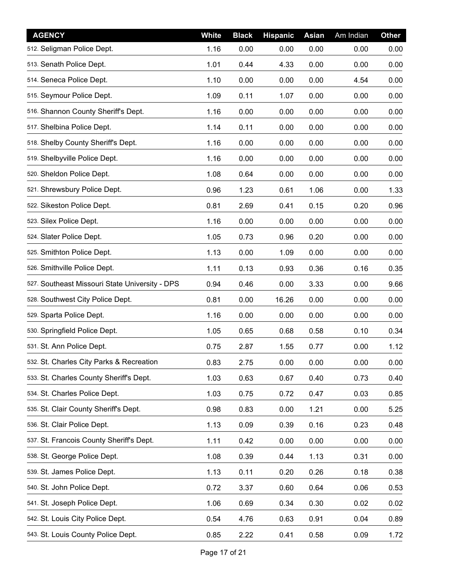| <b>AGENCY</b>                                  | <b>White</b> | <b>Black</b> | <b>Hispanic</b> | <b>Asian</b> | Am Indian | Other |
|------------------------------------------------|--------------|--------------|-----------------|--------------|-----------|-------|
| 512. Seligman Police Dept.                     | 1.16         | 0.00         | 0.00            | 0.00         | 0.00      | 0.00  |
| 513. Senath Police Dept.                       | 1.01         | 0.44         | 4.33            | 0.00         | 0.00      | 0.00  |
| 514. Seneca Police Dept.                       | 1.10         | 0.00         | 0.00            | 0.00         | 4.54      | 0.00  |
| 515. Seymour Police Dept.                      | 1.09         | 0.11         | 1.07            | 0.00         | 0.00      | 0.00  |
| 516. Shannon County Sheriff's Dept.            | 1.16         | 0.00         | 0.00            | 0.00         | 0.00      | 0.00  |
| 517. Shelbina Police Dept.                     | 1.14         | 0.11         | 0.00            | 0.00         | 0.00      | 0.00  |
| 518. Shelby County Sheriff's Dept.             | 1.16         | 0.00         | 0.00            | 0.00         | 0.00      | 0.00  |
| 519. Shelbyville Police Dept.                  | 1.16         | 0.00         | 0.00            | 0.00         | 0.00      | 0.00  |
| 520. Sheldon Police Dept.                      | 1.08         | 0.64         | 0.00            | 0.00         | 0.00      | 0.00  |
| 521. Shrewsbury Police Dept.                   | 0.96         | 1.23         | 0.61            | 1.06         | 0.00      | 1.33  |
| 522. Sikeston Police Dept.                     | 0.81         | 2.69         | 0.41            | 0.15         | 0.20      | 0.96  |
| 523. Silex Police Dept.                        | 1.16         | 0.00         | 0.00            | 0.00         | 0.00      | 0.00  |
| 524. Slater Police Dept.                       | 1.05         | 0.73         | 0.96            | 0.20         | 0.00      | 0.00  |
| 525. Smithton Police Dept.                     | 1.13         | 0.00         | 1.09            | 0.00         | 0.00      | 0.00  |
| 526. Smithville Police Dept.                   | 1.11         | 0.13         | 0.93            | 0.36         | 0.16      | 0.35  |
| 527. Southeast Missouri State University - DPS | 0.94         | 0.46         | 0.00            | 3.33         | 0.00      | 9.66  |
| 528. Southwest City Police Dept.               | 0.81         | 0.00         | 16.26           | 0.00         | 0.00      | 0.00  |
| 529. Sparta Police Dept.                       | 1.16         | 0.00         | 0.00            | 0.00         | 0.00      | 0.00  |
| 530. Springfield Police Dept.                  | 1.05         | 0.65         | 0.68            | 0.58         | 0.10      | 0.34  |
| 531. St. Ann Police Dept.                      | 0.75         | 2.87         | 1.55            | 0.77         | 0.00      | 1.12  |
| 532. St. Charles City Parks & Recreation       | 0.83         | 2.75         | 0.00            | 0.00         | 0.00      | 0.00  |
| 533. St. Charles County Sheriff's Dept.        | 1.03         | 0.63         | 0.67            | 0.40         | 0.73      | 0.40  |
| 534. St. Charles Police Dept.                  | 1.03         | 0.75         | 0.72            | 0.47         | 0.03      | 0.85  |
| 535. St. Clair County Sheriff's Dept.          | 0.98         | 0.83         | 0.00            | 1.21         | 0.00      | 5.25  |
| 536. St. Clair Police Dept.                    | 1.13         | 0.09         | 0.39            | 0.16         | 0.23      | 0.48  |
| 537. St. Francois County Sheriff's Dept.       | 1.11         | 0.42         | 0.00            | 0.00         | 0.00      | 0.00  |
| 538. St. George Police Dept.                   | 1.08         | 0.39         | 0.44            | 1.13         | 0.31      | 0.00  |
| 539. St. James Police Dept.                    | 1.13         | 0.11         | 0.20            | 0.26         | 0.18      | 0.38  |
| 540. St. John Police Dept.                     | 0.72         | 3.37         | 0.60            | 0.64         | 0.06      | 0.53  |
| 541. St. Joseph Police Dept.                   | 1.06         | 0.69         | 0.34            | 0.30         | 0.02      | 0.02  |
| 542. St. Louis City Police Dept.               | 0.54         | 4.76         | 0.63            | 0.91         | 0.04      | 0.89  |
| 543. St. Louis County Police Dept.             | 0.85         | 2.22         | 0.41            | 0.58         | 0.09      | 1.72  |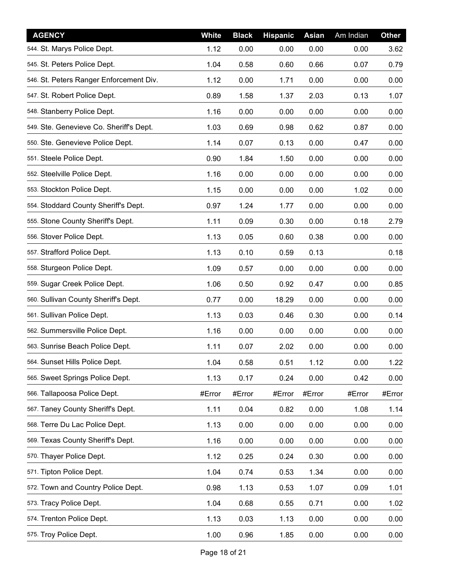| <b>AGENCY</b>                           | <b>White</b> | <b>Black</b> | <b>Hispanic</b> | <b>Asian</b> | Am Indian | Other  |
|-----------------------------------------|--------------|--------------|-----------------|--------------|-----------|--------|
| 544. St. Marys Police Dept.             | 1.12         | 0.00         | 0.00            | 0.00         | 0.00      | 3.62   |
| 545. St. Peters Police Dept.            | 1.04         | 0.58         | 0.60            | 0.66         | 0.07      | 0.79   |
| 546. St. Peters Ranger Enforcement Div. | 1.12         | 0.00         | 1.71            | 0.00         | 0.00      | 0.00   |
| 547. St. Robert Police Dept.            | 0.89         | 1.58         | 1.37            | 2.03         | 0.13      | 1.07   |
| 548. Stanberry Police Dept.             | 1.16         | 0.00         | 0.00            | 0.00         | 0.00      | 0.00   |
| 549. Ste. Genevieve Co. Sheriff's Dept. | 1.03         | 0.69         | 0.98            | 0.62         | 0.87      | 0.00   |
| 550. Ste. Genevieve Police Dept.        | 1.14         | 0.07         | 0.13            | 0.00         | 0.47      | 0.00   |
| 551. Steele Police Dept.                | 0.90         | 1.84         | 1.50            | 0.00         | 0.00      | 0.00   |
| 552. Steelville Police Dept.            | 1.16         | 0.00         | 0.00            | 0.00         | 0.00      | 0.00   |
| 553. Stockton Police Dept.              | 1.15         | 0.00         | 0.00            | 0.00         | 1.02      | 0.00   |
| 554. Stoddard County Sheriff's Dept.    | 0.97         | 1.24         | 1.77            | 0.00         | 0.00      | 0.00   |
| 555. Stone County Sheriff's Dept.       | 1.11         | 0.09         | 0.30            | 0.00         | 0.18      | 2.79   |
| 556. Stover Police Dept.                | 1.13         | 0.05         | 0.60            | 0.38         | 0.00      | 0.00   |
| 557. Strafford Police Dept.             | 1.13         | 0.10         | 0.59            | 0.13         |           | 0.18   |
| 558. Sturgeon Police Dept.              | 1.09         | 0.57         | 0.00            | 0.00         | 0.00      | 0.00   |
| 559. Sugar Creek Police Dept.           | 1.06         | 0.50         | 0.92            | 0.47         | 0.00      | 0.85   |
| 560. Sullivan County Sheriff's Dept.    | 0.77         | 0.00         | 18.29           | 0.00         | 0.00      | 0.00   |
| 561. Sullivan Police Dept.              | 1.13         | 0.03         | 0.46            | 0.30         | 0.00      | 0.14   |
| 562. Summersville Police Dept.          | 1.16         | 0.00         | 0.00            | 0.00         | 0.00      | 0.00   |
| 563. Sunrise Beach Police Dept.         | 1.11         | 0.07         | 2.02            | 0.00         | 0.00      | 0.00   |
| 564. Sunset Hills Police Dept.          | 1.04         | 0.58         | 0.51            | 1.12         | 0.00      | 1.22   |
| 565. Sweet Springs Police Dept.         | 1.13         | 0.17         | 0.24            | 0.00         | 0.42      | 0.00   |
| 566. Tallapoosa Police Dept.            | #Error       | #Error       | #Error          | #Error       | #Error    | #Error |
| 567. Taney County Sheriff's Dept.       | 1.11         | 0.04         | 0.82            | 0.00         | 1.08      | 1.14   |
| 568. Terre Du Lac Police Dept.          | 1.13         | 0.00         | 0.00            | 0.00         | 0.00      | 0.00   |
| 569. Texas County Sheriff's Dept.       | 1.16         | 0.00         | 0.00            | 0.00         | 0.00      | 0.00   |
| 570. Thayer Police Dept.                | 1.12         | 0.25         | 0.24            | 0.30         | 0.00      | 0.00   |
| 571. Tipton Police Dept.                | 1.04         | 0.74         | 0.53            | 1.34         | 0.00      | 0.00   |
| 572. Town and Country Police Dept.      | 0.98         | 1.13         | 0.53            | 1.07         | 0.09      | 1.01   |
| 573. Tracy Police Dept.                 | 1.04         | 0.68         | 0.55            | 0.71         | 0.00      | 1.02   |
| 574. Trenton Police Dept.               | 1.13         | 0.03         | 1.13            | 0.00         | 0.00      | 0.00   |
| 575. Troy Police Dept.                  | 1.00         | 0.96         | 1.85            | 0.00         | 0.00      | 0.00   |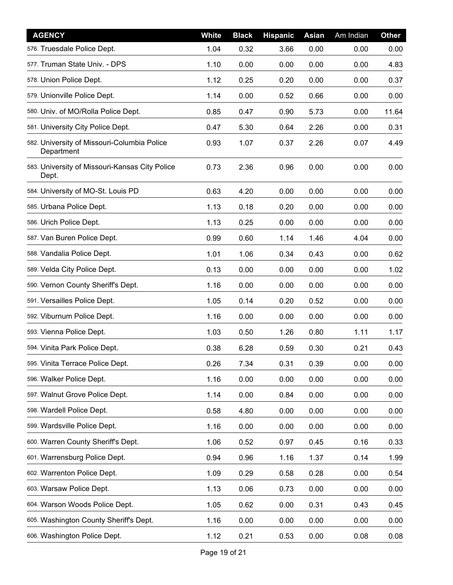| <b>AGENCY</b>                                             | <b>White</b> | <b>Black</b> | <b>Hispanic</b> | <b>Asian</b> | Am Indian | Other |
|-----------------------------------------------------------|--------------|--------------|-----------------|--------------|-----------|-------|
| 576. Truesdale Police Dept.                               | 1.04         | 0.32         | 3.66            | 0.00         | 0.00      | 0.00  |
| 577. Truman State Univ. - DPS                             | 1.10         | 0.00         | 0.00            | 0.00         | 0.00      | 4.83  |
| 578. Union Police Dept.                                   | 1.12         | 0.25         | 0.20            | 0.00         | 0.00      | 0.37  |
| 579. Unionville Police Dept.                              | 1.14         | 0.00         | 0.52            | 0.66         | 0.00      | 0.00  |
| 580. Univ. of MO/Rolla Police Dept.                       | 0.85         | 0.47         | 0.90            | 5.73         | 0.00      | 11.64 |
| 581. University City Police Dept.                         | 0.47         | 5.30         | 0.64            | 2.26         | 0.00      | 0.31  |
| 582. University of Missouri-Columbia Police<br>Department | 0.93         | 1.07         | 0.37            | 2.26         | 0.07      | 4.49  |
| 583. University of Missouri-Kansas City Police<br>Dept.   | 0.73         | 2.36         | 0.96            | 0.00         | 0.00      | 0.00  |
| 584. University of MO-St. Louis PD                        | 0.63         | 4.20         | 0.00            | 0.00         | 0.00      | 0.00  |
| 585. Urbana Police Dept.                                  | 1.13         | 0.18         | 0.20            | 0.00         | 0.00      | 0.00  |
| 586. Urich Police Dept.                                   | 1.13         | 0.25         | 0.00            | 0.00         | 0.00      | 0.00  |
| 587. Van Buren Police Dept.                               | 0.99         | 0.60         | 1.14            | 1.46         | 4.04      | 0.00  |
| 588. Vandalia Police Dept.                                | 1.01         | 1.06         | 0.34            | 0.43         | 0.00      | 0.62  |
| 589. Velda City Police Dept.                              | 0.13         | 0.00         | 0.00            | 0.00         | 0.00      | 1.02  |
| 590. Vernon County Sheriff's Dept.                        | 1.16         | 0.00         | 0.00            | 0.00         | 0.00      | 0.00  |
| 591. Versailles Police Dept.                              | 1.05         | 0.14         | 0.20            | 0.52         | 0.00      | 0.00  |
| 592. Viburnum Police Dept.                                | 1.16         | 0.00         | 0.00            | 0.00         | 0.00      | 0.00  |
| 593. Vienna Police Dept.                                  | 1.03         | 0.50         | 1.26            | 0.80         | 1.11      | 1.17  |
| 594. Vinita Park Police Dept.                             | 0.38         | 6.28         | 0.59            | 0.30         | 0.21      | 0.43  |
| 595. Vinita Terrace Police Dept.                          | 0.26         | 7.34         | 0.31            | 0.39         | 0.00      | 0.00  |
| 596. Walker Police Dept.                                  | 1.16         | 0.00         | 0.00            | 0.00         | 0.00      | 0.00  |
| 597. Walnut Grove Police Dept.                            | 1.14         | 0.00         | 0.84            | 0.00         | 0.00      | 0.00  |
| 598. Wardell Police Dept.                                 | 0.58         | 4.80         | 0.00            | 0.00         | 0.00      | 0.00  |
| 599. Wardsville Police Dept.                              | 1.16         | 0.00         | 0.00            | 0.00         | 0.00      | 0.00  |
| 600. Warren County Sheriff's Dept.                        | 1.06         | 0.52         | 0.97            | 0.45         | 0.16      | 0.33  |
| 601. Warrensburg Police Dept.                             | 0.94         | 0.96         | 1.16            | 1.37         | 0.14      | 1.99  |
| 602. Warrenton Police Dept.                               | 1.09         | 0.29         | 0.58            | 0.28         | 0.00      | 0.54  |
| 603. Warsaw Police Dept.                                  | 1.13         | 0.06         | 0.73            | 0.00         | 0.00      | 0.00  |
| 604. Warson Woods Police Dept.                            | 1.05         | 0.62         | 0.00            | 0.31         | 0.43      | 0.45  |
| 605. Washington County Sheriff's Dept.                    | 1.16         | 0.00         | 0.00            | 0.00         | 0.00      | 0.00  |
| 606. Washington Police Dept.                              | 1.12         | 0.21         | 0.53            | 0.00         | 0.08      | 0.08  |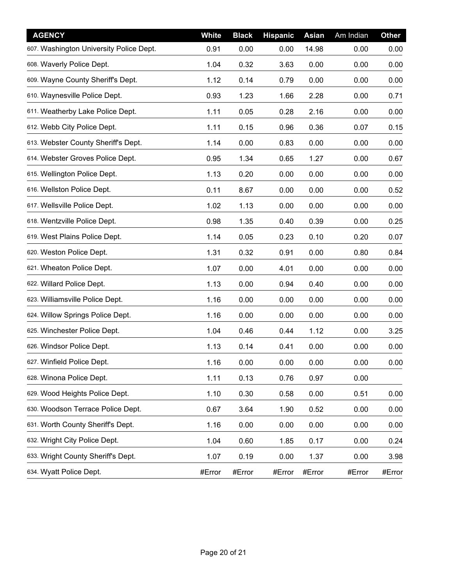| <b>AGENCY</b>                           | White  | <b>Black</b> | <b>Hispanic</b> | <b>Asian</b> | Am Indian | Other  |
|-----------------------------------------|--------|--------------|-----------------|--------------|-----------|--------|
| 607. Washington University Police Dept. | 0.91   | 0.00         | 0.00            | 14.98        | 0.00      | 0.00   |
| 608. Waverly Police Dept.               | 1.04   | 0.32         | 3.63            | 0.00         | 0.00      | 0.00   |
| 609. Wayne County Sheriff's Dept.       | 1.12   | 0.14         | 0.79            | 0.00         | 0.00      | 0.00   |
| 610. Waynesville Police Dept.           | 0.93   | 1.23         | 1.66            | 2.28         | 0.00      | 0.71   |
| 611. Weatherby Lake Police Dept.        | 1.11   | 0.05         | 0.28            | 2.16         | 0.00      | 0.00   |
| 612. Webb City Police Dept.             | 1.11   | 0.15         | 0.96            | 0.36         | 0.07      | 0.15   |
| 613. Webster County Sheriff's Dept.     | 1.14   | 0.00         | 0.83            | 0.00         | 0.00      | 0.00   |
| 614. Webster Groves Police Dept.        | 0.95   | 1.34         | 0.65            | 1.27         | 0.00      | 0.67   |
| 615. Wellington Police Dept.            | 1.13   | 0.20         | 0.00            | 0.00         | 0.00      | 0.00   |
| 616. Wellston Police Dept.              | 0.11   | 8.67         | 0.00            | 0.00         | 0.00      | 0.52   |
| 617. Wellsville Police Dept.            | 1.02   | 1.13         | 0.00            | 0.00         | 0.00      | 0.00   |
| 618. Wentzville Police Dept.            | 0.98   | 1.35         | 0.40            | 0.39         | 0.00      | 0.25   |
| 619. West Plains Police Dept.           | 1.14   | 0.05         | 0.23            | 0.10         | 0.20      | 0.07   |
| 620. Weston Police Dept.                | 1.31   | 0.32         | 0.91            | 0.00         | 0.80      | 0.84   |
| 621. Wheaton Police Dept.               | 1.07   | 0.00         | 4.01            | 0.00         | 0.00      | 0.00   |
| 622. Willard Police Dept.               | 1.13   | 0.00         | 0.94            | 0.40         | 0.00      | 0.00   |
| 623. Williamsville Police Dept.         | 1.16   | 0.00         | 0.00            | 0.00         | 0.00      | 0.00   |
| 624. Willow Springs Police Dept.        | 1.16   | 0.00         | 0.00            | 0.00         | 0.00      | 0.00   |
| 625. Winchester Police Dept.            | 1.04   | 0.46         | 0.44            | 1.12         | 0.00      | 3.25   |
| 626. Windsor Police Dept.               | 1.13   | 0.14         | 0.41            | 0.00         | 0.00      | 0.00   |
| 627. Winfield Police Dept.              | 1.16   | 0.00         | 0.00            | 0.00         | 0.00      | 0.00   |
| 628. Winona Police Dept.                | 1.11   | 0.13         | 0.76            | 0.97         | 0.00      |        |
| 629. Wood Heights Police Dept.          | 1.10   | 0.30         | 0.58            | 0.00         | 0.51      | 0.00   |
| 630. Woodson Terrace Police Dept.       | 0.67   | 3.64         | 1.90            | 0.52         | 0.00      | 0.00   |
| 631. Worth County Sheriff's Dept.       | 1.16   | 0.00         | 0.00            | 0.00         | 0.00      | 0.00   |
| 632. Wright City Police Dept.           | 1.04   | 0.60         | 1.85            | 0.17         | 0.00      | 0.24   |
| 633. Wright County Sheriff's Dept.      | 1.07   | 0.19         | 0.00            | 1.37         | 0.00      | 3.98   |
| 634. Wyatt Police Dept.                 | #Error | #Error       | #Error          | #Error       | #Error    | #Error |